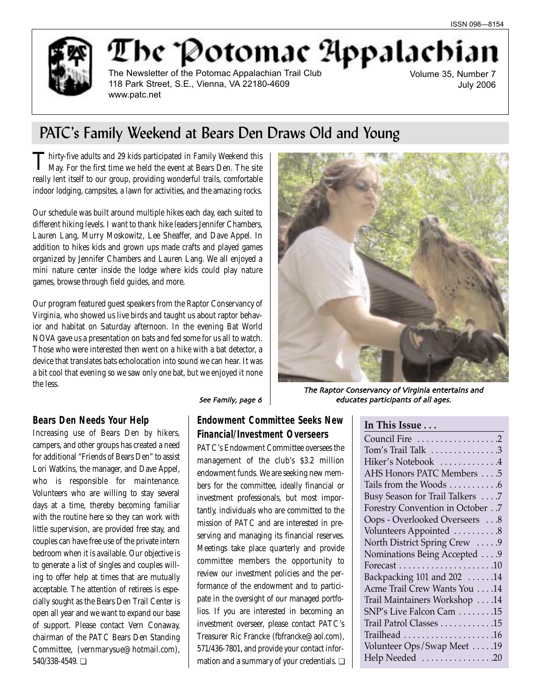

# The Potomac Appalachia

The Newsletter of the Potomac Appalachian Trail Club 118 Park Street, S.E., Vienna, VA 22180-4609 www.patc.net

Volume 35, Number 7 July 2006

## PATC's Family Weekend at Bears Den Draws Old and Young

Thirty-five adults and 29 kids participated in Family Weekend this May. For the first time we held the event at Bears Den. The site really lent itself to our group, providing wonderful trails, comfortable indoor lodging, campsites, a lawn for activities, and the amazing rocks.

Our schedule was built around multiple hikes each day, each suited to different hiking levels. I want to thank hike leaders Jennifer Chambers, Lauren Lang, Murry Moskowitz, Lee Sheaffer, and Dave Appel. In addition to hikes kids and grown ups made crafts and played games organized by Jennifer Chambers and Lauren Lang. We all enjoyed a mini nature center inside the lodge where kids could play nature games, browse through field guides, and more.

Our program featured guest speakers from the Raptor Conservancy of Virginia, who showed us live birds and taught us about raptor behavior and habitat on Saturday afternoon. In the evening Bat World NOVA gave us a presentation on bats and fed some for us all to watch. Those who were interested then went on a hike with a bat detector, a device that translates bats echolocation into sound we can hear. It was a bit cool that evening so we saw only one bat, but we enjoyed it none the less.



### **Bears Den Needs Your Help**

Increasing use of Bears Den by hikers, campers, and other groups has created a need for additional "Friends of Bears Den" to assist Lori Watkins, the manager, and Dave Appel, who is responsible for maintenance. Volunteers who are willing to stay several days at a time, thereby becoming familiar with the routine here so they can work with little supervision, are provided free stay, and couples can have free use of the private intern bedroom when it is available. Our objective is to generate a list of singles and couples willing to offer help at times that are mutually acceptable. The attention of retirees is especially sought as the Bears Den Trail Center is open all year and we want to expand our base of support. Please contact Vern Conaway, chairman of the PATC Bears Den Standing Committee, (vernmarysue@hotmail.com), 540/338-4549. ❏

#### See Family, page 6

### **Endowment Committee Seeks New Financial/Investment Overseers**

PATC's Endowment Committee oversees the management of the club's \$3.2 million endowment funds. We are seeking new members for the committee, ideally financial or investment professionals, but most importantly, individuals who are committed to the mission of PATC and are interested in preserving and managing its financial reserves. Meetings take place quarterly and provide committee members the opportunity to review our investment policies and the performance of the endowment and to participate in the oversight of our managed portfolios. If you are interested in becoming an investment overseer, please contact PATC's Treasurer Ric Francke (fbfrancke@aol.com), 571/436-7801, and provide your contact information and a summary of your credentials. ❏

| educates participants of all ages. |  |  |
|------------------------------------|--|--|
|                                    |  |  |

### **In This Issue . . .**

| Council Fire 2                  |
|---------------------------------|
| Tom's Trail Talk 3              |
| Hiker's Notebook 4              |
| AHS Honors PATC Members 5       |
| Tails from the Woods 6          |
| Busy Season for Trail Talkers 7 |
| Forestry Convention in October7 |
| Oops - Overlooked Overseers 8   |
| Volunteers Appointed 8          |
| North District Spring Crew  9   |
| Nominations Being Accepted 9    |
|                                 |
| Backpacking 101 and 202 14      |
| Acme Trail Crew Wants You  .14  |
| Trail Maintainers Workshop 14   |
| SNP's Live Falcon Cam 15        |
| Trail Patrol Classes 15         |
|                                 |
| Volunteer Ops/Swap Meet 19      |
| Help Needed 20                  |
|                                 |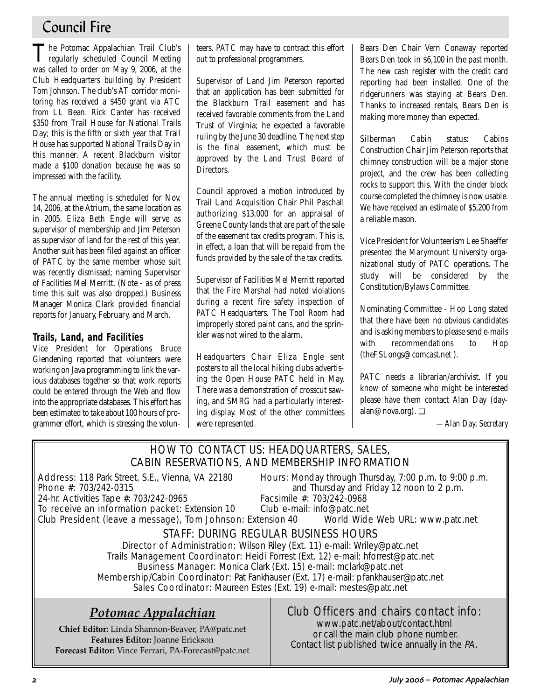## Council Fire

The Potomac Appalachian Trail Club's regularly scheduled Council Meeting was called to order on May 9, 2006, at the Club Headquarters building by President Tom Johnson. The club's AT corridor monitoring has received a \$450 grant via ATC from LL Bean. Rick Canter has received \$350 from Trail House for National Trails Day; this is the fifth or sixth year that Trail House has supported National Trails Day in this manner. A recent Blackburn visitor made a \$100 donation because he was so impressed with the facility.

The annual meeting is scheduled for Nov. 14, 2006, at the Atrium, the same location as in 2005. Eliza Beth Engle will serve as supervisor of membership and Jim Peterson as supervisor of land for the rest of this year. Another suit has been filed against an officer of PATC by the same member whose suit was recently dismissed; naming Supervisor of Facilities Mel Merritt. (Note - as of press time this suit was also dropped.) Business Manager Monica Clark provided financial reports for January, February, and March.

### **Trails, Land, and Facilities**

Vice President for Operations Bruce Glendening reported that volunteers were working on Java programming to link the various databases together so that work reports could be entered through the Web and flow into the appropriate databases. This effort has been estimated to take about 100 hours of programmer effort, which is stressing the volunteers. PATC may have to contract this effort out to professional programmers.

Supervisor of Land Jim Peterson reported that an application has been submitted for the Blackburn Trail easement and has received favorable comments from the Land Trust of Virginia; he expected a favorable ruling by the June 30 deadline. The next step is the final easement, which must be approved by the Land Trust Board of Directors.

Council approved a motion introduced by Trail Land Acquisition Chair Phil Paschall authorizing \$13,000 for an appraisal of Greene County lands that are part of the sale of the easement tax credits program. This is, in effect, a loan that will be repaid from the funds provided by the sale of the tax credits.

Supervisor of Facilities Mel Merritt reported that the Fire Marshal had noted violations during a recent fire safety inspection of PATC Headquarters. The Tool Room had improperly stored paint cans, and the sprinkler was not wired to the alarm.

Headquarters Chair Eliza Engle sent posters to all the local hiking clubs advertising the Open House PATC held in May. There was a demonstration of crosscut sawing, and SMRG had a particularly interesting display. Most of the other committees were represented.

Bears Den Chair Vern Conaway reported Bears Den took in \$6,100 in the past month. The new cash register with the credit card reporting had been installed. One of the ridgerunners was staying at Bears Den. Thanks to increased rentals, Bears Den is making more money than expected.

Silberman Cabin status: Cabins Construction Chair Jim Peterson reports that chimney construction will be a major stone project, and the crew has been collecting rocks to support this. With the cinder block course completed the chimney is now usable. We have received an estimate of \$5,200 from a reliable mason.

Vice President for Volunteerism Lee Shaeffer presented the Marymount University organizational study of PATC operations. The study will be considered by the Constitution/Bylaws Committee.

Nominating Committee - Hop Long stated that there have been no obvious candidates and is asking members to please send e-mails with recommendations to Hop (theFSLongs@comcast.net ).

PATC needs a librarian/archivist. If you know of someone who might be interested please have them contact Alan Day (dayalan@nova.org). ❏

*—Alan Day, Secretary*

### HOW TO CONTACT US: HEADQUARTERS, SALES, CABIN RESERVATIONS, AND MEMBERSHIP INFORMATION

24-hr. Activities Tape #: 703/242-0965

Address: 118 Park Street, S.E., Vienna, VA 22180 Hours: Monday through Thursday, 7:00 p.m. to 9:00 p.m.<br>Phone #: 703/242-0315 **Phone** #: 703/242-0315 and Thursday and Friday 12 noon to 2 p.m.<br>Facsimile #: 703/242-0968

To receive an information packet: Extension 10 Club e-mail: info@patc.net Club President (leave a message), Tom Johnson: Extension 40 World Wide Web URL: www.patc.net

## STAFF: DURING REGULAR BUSINESS HOURS

Director of Administration: Wilson Riley (Ext. 11) e-mail: Wriley@patc.net Trails Management Coordinator: Heidi Forrest (Ext. 12) e-mail: hforrest@patc.net Business Manager: Monica Clark (Ext. 15) e-mail: mclark@patc.net Membership/Cabin Coordinator: Pat Fankhauser (Ext. 17) e-mail: pfankhauser@patc.net Sales Coordinator: Maureen Estes (Ext. 19) e-mail: mestes@patc.net

## *Potomac Appalachian*

**Chief Editor:** Linda Shannon-Beaver, PA@patc.net **Features Editor:** Joanne Erickson **Forecast Editor:** Vince Ferrari, PA-Forecast@patc.net

## Club Officers and chairs contact info:

www.patc.net/about/contact.html or call the main club phone number. Contact list published twice annually in the PA.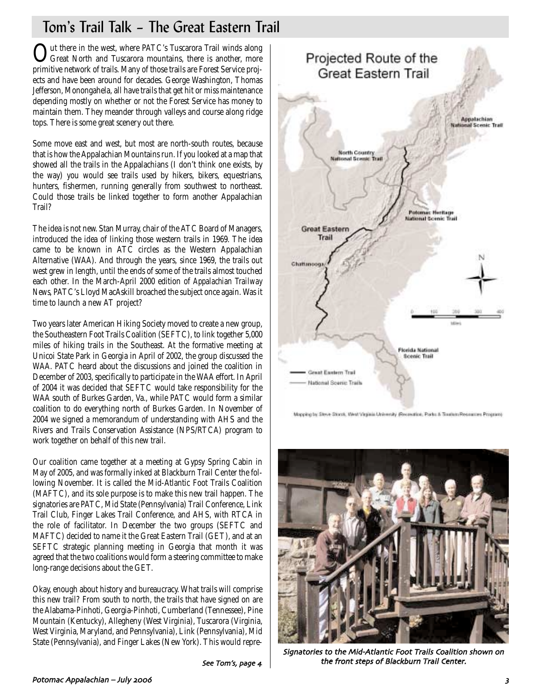# Tom's Trail Talk – The Great Eastern Trail

Out there in the west, where PATC's Tuscarora Trail winds along<br>Great North and Tuscarora mountains, there is another, more primitive network of trails. Many of those trails are Forest Service projects and have been around for decades. George Washington, Thomas Jefferson, Monongahela, all have trails that get hit or miss maintenance depending mostly on whether or not the Forest Service has money to maintain them. They meander through valleys and course along ridge tops. There is some great scenery out there.

Some move east and west, but most are north-south routes, because that is how the Appalachian Mountains run. If you looked at a map that showed all the trails in the Appalachians (I don't think one exists, by the way) you would see trails used by hikers, bikers, equestrians, hunters, fishermen, running generally from southwest to northeast. Could those trails be linked together to form another Appalachian Trail?

The idea is not new. Stan Murray, chair of the ATC Board of Managers, introduced the idea of linking those western trails in 1969. The idea came to be known in ATC circles as the Western Appalachian Alternative (WAA). And through the years, since 1969, the trails out west grew in length, until the ends of some of the trails almost touched each other. In the March-April 2000 edition of *Appalachian Trailway News*, PATC's Lloyd MacAskill broached the subject once again. Was it time to launch a new AT project?

Two years later American Hiking Society moved to create a new group, the Southeastern Foot Trails Coalition (SEFTC), to link together 5,000 miles of hiking trails in the Southeast. At the formative meeting at Unicoi State Park in Georgia in April of 2002, the group discussed the WAA. PATC heard about the discussions and joined the coalition in December of 2003, specifically to participate in the WAA effort. In April of 2004 it was decided that SEFTC would take responsibility for the WAA south of Burkes Garden, Va., while PATC would form a similar coalition to do everything north of Burkes Garden. In November of 2004 we signed a memorandum of understanding with AHS and the Rivers and Trails Conservation Assistance (NPS/RTCA) program to work together on behalf of this new trail.

Our coalition came together at a meeting at Gypsy Spring Cabin in May of 2005, and was formally inked at Blackburn Trail Center the following November. It is called the Mid-Atlantic Foot Trails Coalition (MAFTC), and its sole purpose is to make this new trail happen. The signatories are PATC, Mid State (Pennsylvania) Trail Conference, Link Trail Club, Finger Lakes Trail Conference, and AHS, with RTCA in the role of facilitator. In December the two groups (SEFTC and MAFTC) decided to name it the Great Eastern Trail (GET), and at an SEFTC strategic planning meeting in Georgia that month it was agreed that the two coalitions would form a steering committee to make long-range decisions about the GET.

Okay, enough about history and bureaucracy. What trails will comprise this new trail? From south to north, the trails that have signed on are the Alabama-Pinhoti, Georgia-Pinhoti, Cumberland (Tennessee), Pine Mountain (Kentucky), Allegheny (West Virginia), Tuscarora (Virginia, West Virginia, Maryland, and Pennsylvania), Link (Pennsylvania), Mid State (Pennsylvania), and Finger Lakes (New York). This would repre-



Mapping by Steve Stock, West Virginia University (Recordios, Ports & Tourism Resources Program)



Signatories to the Mid-Atlantic Foot Trails Coalition shown on See Tom's, page  $4$   $\parallel$  the front steps of Blackburn Trail Center.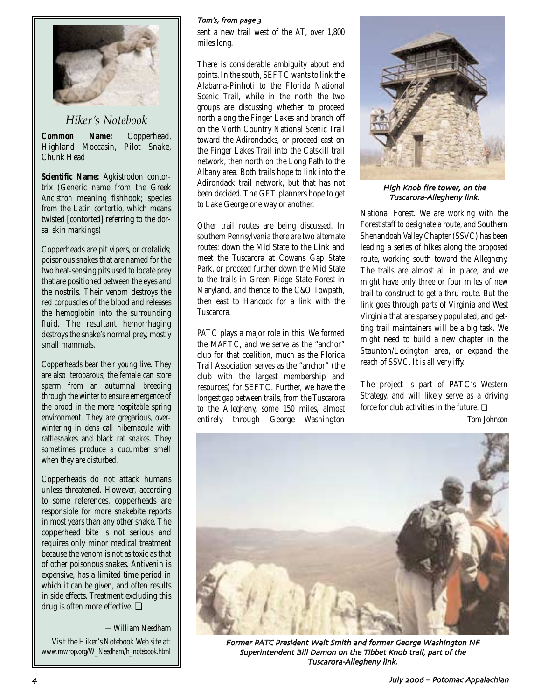

### *Hiker's Notebook*

**Common Name:** Copperhead, Highland Moccasin, Pilot Snake, Chunk Head

**Scientific Name:** Agkistrodon contortrix (Generic name from the Greek *Ancistron* meaning fishhook; species from the Latin *contortio,* which means twisted [contorted] referring to the dorsal skin markings)

Copperheads are pit vipers, or crotalids; poisonous snakes that are named for the two heat-sensing pits used to locate prey that are positioned between the eyes and the nostrils. Their venom destroys the red corpuscles of the blood and releases the hemoglobin into the surrounding fluid. The resultant hemorrhaging destroys the snake's normal prey, mostly small mammals.

Copperheads bear their young live. They are also iteroparous; the female can store sperm from an autumnal breeding through the winter to ensure emergence of the brood in the more hospitable spring environment. They are gregarious, overwintering in dens call hibernacula with rattlesnakes and black rat snakes. They sometimes produce a cucumber smell when they are disturbed.

Copperheads do not attack humans unless threatened. However, according to some references, copperheads are responsible for more snakebite reports in most years than any other snake. The copperhead bite is not serious and requires only minor medical treatment because the venom is not as toxic as that of other poisonous snakes. Antivenin is expensive, has a limited time period in which it can be given, and often results in side effects. Treatment excluding this drug is often more effective. ❏

*—William Needham Visit the Hiker's Notebook Web site at: www.mwrop.org/W\_Needham/h\_notebook.html*

#### Tom's, from page 3

sent a new trail west of the AT, over 1,800 miles long.

There is considerable ambiguity about end points. In the south, SEFTC wants to link the Alabama-Pinhoti to the Florida National Scenic Trail, while in the north the two groups are discussing whether to proceed north along the Finger Lakes and branch off on the North Country National Scenic Trail toward the Adirondacks, or proceed east on the Finger Lakes Trail into the Catskill trail network, then north on the Long Path to the Albany area. Both trails hope to link into the Adirondack trail network, but that has not been decided. The GET planners hope to get to Lake George one way or another.

Other trail routes are being discussed. In southern Pennsylvania there are two alternate routes: down the Mid State to the Link and meet the Tuscarora at Cowans Gap State Park, or proceed further down the Mid State to the trails in Green Ridge State Forest in Maryland, and thence to the C&O Towpath, then east to Hancock for a link with the Tuscarora.

PATC plays a major role in this. We formed the MAFTC, and we serve as the "anchor" club for that coalition, much as the Florida Trail Association serves as the "anchor" (the club with the largest membership and resources) for SEFTC. Further, we have the longest gap between trails, from the Tuscarora to the Allegheny, some 150 miles, almost entirely through George Washington



High Knob fire tower, on the Tuscarora-Allegheny link.

National Forest. We are working with the Forest staff to designate a route, and Southern Shenandoah Valley Chapter (SSVC) has been leading a series of hikes along the proposed route, working south toward the Allegheny. The trails are almost all in place, and we might have only three or four miles of new trail to construct to get a thru-route. But the link goes through parts of Virginia and West Virginia that are sparsely populated, and getting trail maintainers will be a big task. We might need to build a new chapter in the Staunton/Lexington area, or expand the reach of SSVC. It is all very iffy.

The project is part of PATC's Western Strategy, and will likely serve as a driving force for club activities in the future. ❏

*—Tom Johnson*



Former PATC President Walt Smith and former George Washington NF Superintendent Bill Damon on the Tibbet Knob trail, part of the Tuscarora-Allegheny link.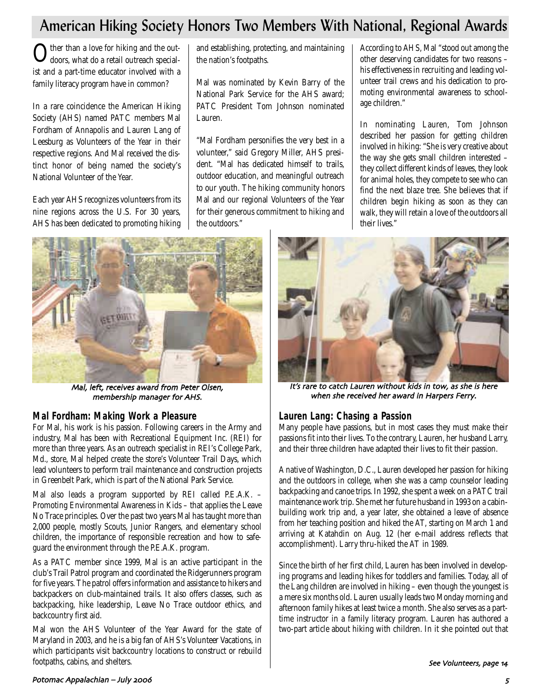## American Hiking Society Honors Two Members With National, Regional Awards

 $\bigcirc$  ther than a love for hiking and the out-<br>doors, what do a retail outreach specialist and a part-time educator involved with a family literacy program have in common?

In a rare coincidence the American Hiking Society (AHS) named PATC members Mal Fordham of Annapolis and Lauren Lang of Leesburg as Volunteers of the Year in their respective regions. And Mal received the distinct honor of being named the society's National Volunteer of the Year.

Each year AHS recognizes volunteers from its nine regions across the U.S. For 30 years, AHS has been dedicated to promoting hiking and establishing, protecting, and maintaining the nation's footpaths.

Mal was nominated by Kevin Barry of the National Park Service for the AHS award; PATC President Tom Johnson nominated Lauren.

"Mal Fordham personifies the very best in a volunteer," said Gregory Miller, AHS president. "Mal has dedicated himself to trails, outdoor education, and meaningful outreach to our youth. The hiking community honors Mal and our regional Volunteers of the Year for their generous commitment to hiking and the outdoors."

According to AHS, Mal "stood out among the other deserving candidates for two reasons – his effectiveness in recruiting and leading volunteer trail crews and his dedication to promoting environmental awareness to schoolage children."

In nominating Lauren, Tom Johnson described her passion for getting children involved in hiking: "She is very creative about the way she gets small children interested – they collect different kinds of leaves, they look for animal holes, they compete to see who can find the next blaze tree. She believes that if children begin hiking as soon as they can walk, they will retain a love of the outdoors all their lives."



Mal, left, receives award from Peter Olsen, membership manager for AHS

### **Mal Fordham: Making Work a Pleasure**

For Mal, his work is his passion. Following careers in the Army and industry, Mal has been with Recreational Equipment Inc. (REI) for more than three years. As an outreach specialist in REI's College Park, Md., store, Mal helped create the store's Volunteer Trail Days, which lead volunteers to perform trail maintenance and construction projects in Greenbelt Park, which is part of the National Park Service.

Mal also leads a program supported by REI called P.E.A.K. -Promoting Environmental Awareness in Kids – that applies the Leave No Trace principles. Over the past two years Mal has taught more than 2,000 people, mostly Scouts, Junior Rangers, and elementary school children, the importance of responsible recreation and how to safeguard the environment through the P.E.A.K. program.

As a PATC member since 1999, Mal is an active participant in the club's Trail Patrol program and coordinated the Ridgerunners program for five years. The patrol offers information and assistance to hikers and backpackers on club-maintained trails. It also offers classes, such as backpacking, hike leadership, Leave No Trace outdoor ethics, and backcountry first aid.

Mal won the AHS Volunteer of the Year Award for the state of Maryland in 2003, and he is a big fan of AHS's Volunteer Vacations, in which participants visit backcountry locations to construct or rebuild footpaths, cabins, and shelters.



It's rare to catch Lauren without kids in tow, as she is here when she received her award in Harpers Ferry.

### **Lauren Lang: Chasing a Passion**

Many people have passions, but in most cases they must make their passions fit into their lives. To the contrary, Lauren, her husband Larry, and their three children have adapted their lives to fit their passion.

A native of Washington, D.C., Lauren developed her passion for hiking and the outdoors in college, when she was a camp counselor leading backpacking and canoe trips. In 1992, she spent a week on a PATC trail maintenance work trip. She met her future husband in 1993 on a cabinbuilding work trip and, a year later, she obtained a leave of absence from her teaching position and hiked the AT, starting on March 1 and arriving at Katahdin on Aug. 12 (her e-mail address reflects that accomplishment). Larry thru-hiked the AT in 1989.

Since the birth of her first child, Lauren has been involved in developing programs and leading hikes for toddlers and families. Today, all of the Lang children are involved in hiking – even though the youngest is a mere six months old. Lauren usually leads two Monday morning and afternoon family hikes at least twice a month. She also serves as a parttime instructor in a family literacy program. Lauren has authored a two-part article about hiking with children. In it she pointed out that

#### Potomac Appalachian – July <sup>3</sup>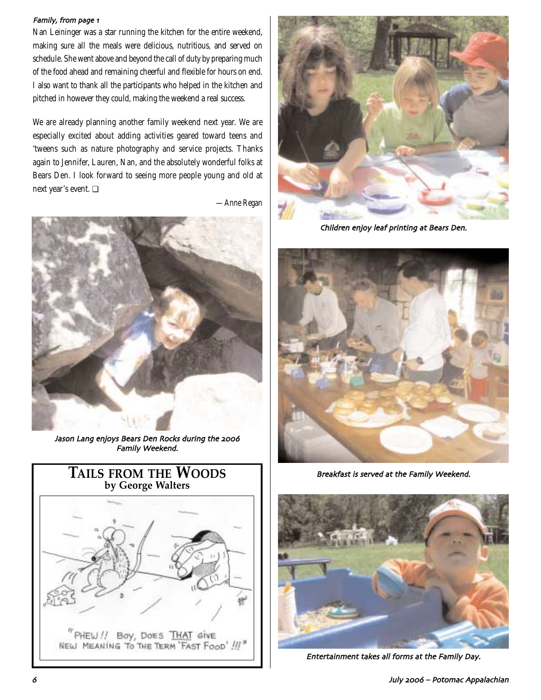#### Family, from page 1

Nan Leininger was a star running the kitchen for the entire weekend, making sure all the meals were delicious, nutritious, and served on schedule. She went above and beyond the call of duty by preparing much of the food ahead and remaining cheerful and flexible for hours on end. I also want to thank all the participants who helped in the kitchen and pitched in however they could, making the weekend a real success.

We are already planning another family weekend next year. We are especially excited about adding activities geared toward teens and 'tweens such as nature photography and service projects. Thanks again to Jennifer, Lauren, Nan, and the absolutely wonderful folks at Bears Den. I look forward to seeing more people young and old at next year's event. ❏

*—Anne Regan*



Jason Lang enjoys Bears Den Rocks during the 2006 Family Weekend





Children enjoy leaf printing at Bears Den



Breakfast is served at the Family Weekend



Entertainment takes all forms at the Family Day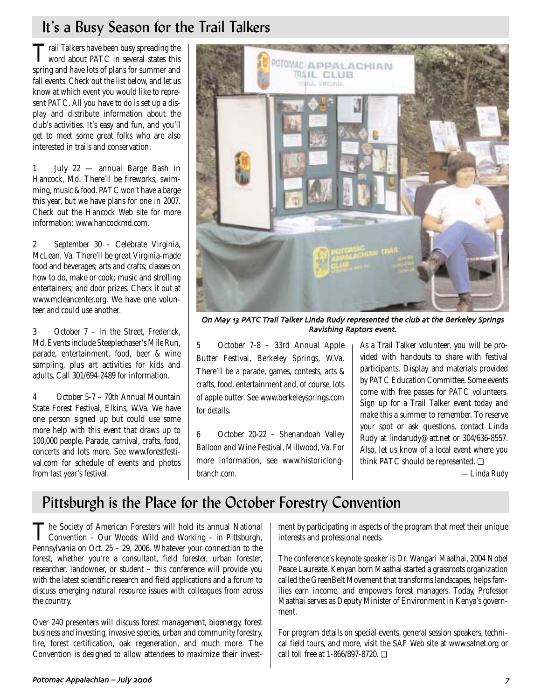## It's a Busy Season for the Trail Talkers

Trail Talkers have been busy spreading the word about PATC in several states this spring and have lots of plans for summer and fall events. Check out the list below, and let us know at which event you would like to represent PATC. All you have to do is set up a display and distribute information about the club's activities. It's easy and fun, and you'll get to meet some great folks who are also interested in trails and conservation.

1 July 22 — annual Barge Bash in Hancock, Md. There'll be fireworks, swimming, music & food. PATC won't have a barge this year, but we have plans for one in 2007. Check out the Hancock Web site for more information: www.hancockmd.com.

2 September 30 – Celebrate Virginia, McLean, Va. There'll be great Virginia-made food and beverages; arts and crafts; classes on how to do, make or cook; music and strolling entertainers; and door prizes. Check it out at www.mcleancenter.org. We have one volunteer and could use another.

3 October 7 – In the Street, Frederick, Md. Events include Steeplechaser's Mile Run, parade, entertainment, food, beer & wine sampling, plus art activities for kids and adults. Call 301/694-2489 for information.

4 October 5-7 – 70th Annual Mountain State Forest Festival, Elkins, W.Va. We have one person signed up but could use some more help with this event that draws up to 100,000 people. Parade, carnival, crafts, food, concerts and lots more. See www.forestfestival.com for schedule of events and photos from last year's festival.



On May 13 PATC Trail Talker Linda Rudy represented the club at the Berkeley Springs Ravishing Raptors event

5 October 7-8 – 33rd Annual Apple Butter Festival, Berkeley Springs, W.Va. There'll be a parade, games, contests, arts & crafts, food, entertainment and, of course, lots of apple butter. See www.berkeleysprings.com for details.

6 October 20-22 – Shenandoah Valley Balloon and Wine Festival, Millwood, Va. For more information, see www.historiclongbranch.com.

As a Trail Talker volunteer, you will be provided with handouts to share with festival participants. Display and materials provided by PATC Education Committee. Some events come with free passes for PATC volunteers. Sign up for a Trail Talker event today and make this a summer to remember. To reserve your spot or ask questions, contact Linda Rudy at lindarudy@att.net or 304/636-8557. Also, let us know of a local event where you think PATC should be represented. ❏

*—Linda Rudy*

## Pittsburgh is the Place for the October Forestry Convention

The Society of American Foresters will hold its annual National Convention – Our Woods: Wild and Working – in Pittsburgh, Pennsylvania on Oct. 25 – 29, 2006. Whatever your connection to the forest, whether you're a consultant, field forester, urban forester, researcher, landowner, or student – this conference will provide you with the latest scientific research and field applications and a forum to discuss emerging natural resource issues with colleagues from across the country.

Over 240 presenters will discuss forest management, bioenergy, forest business and investing, invasive species, urban and community forestry, fire, forest certification, oak regeneration, and much more. The Convention is designed to allow attendees to maximize their investment by participating in aspects of the program that meet their unique interests and professional needs.

The conference's keynote speaker is Dr. Wangari Maathai, 2004 Nobel Peace Laureate. Kenyan born Maathai started a grassroots organization called the GreenBelt Movement that transforms landscapes, helps families earn income, and empowers forest managers. Today, Professor Maathai serves as Deputy Minister of Environment in Kenya's government.

For program details on special events, general session speakers, technical field tours, and more, visit the SAF Web site at www.safnet.org or call toll free at 1-866/897-8720. ❏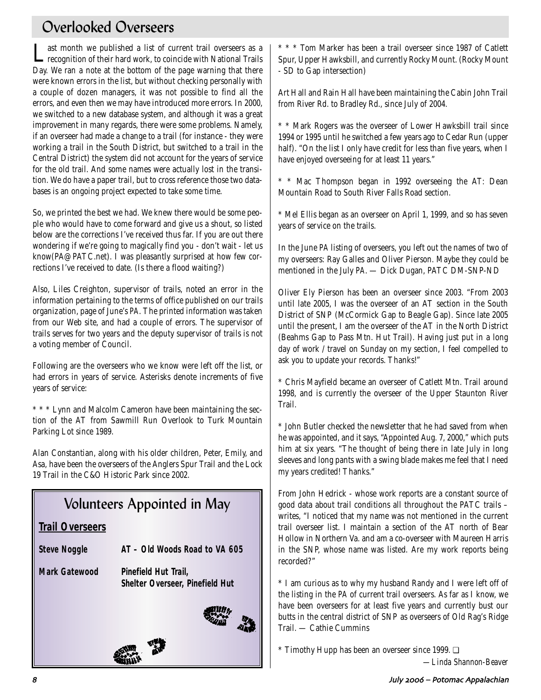## Overlooked Overseers

Last month we published a list of current trail overseers as a recognition of their hard work, to coincide with National Trails Day. We ran a note at the bottom of the page warning that there were known errors in the list, but without checking personally with a couple of dozen managers, it was not possible to find all the errors, and even then we may have introduced more errors. In 2000, we switched to a new database system, and although it was a great improvement in many regards, there were some problems. Namely, if an overseer had made a change to a trail (for instance - they were working a trail in the South District, but switched to a trail in the Central District) the system did not account for the years of service for the old trail. And some names were actually lost in the transition. We do have a paper trail, but to cross reference those two databases is an ongoing project expected to take some time.

So, we printed the best we had. We knew there would be some people who would have to come forward and give us a shout, so listed below are the corrections I've received thus far. If you are out there wondering if we're going to magically find you - don't wait - let us know(PA@PATC.net). I was pleasantly surprised at how few corrections I've received to date. (Is there a flood waiting?)

Also, Liles Creighton, supervisor of trails, noted an error in the information pertaining to the terms of office published on our trails organization, page of June's *PA*. The printed information was taken from our Web site, and had a couple of errors. The supervisor of trails serves for two years and the deputy supervisor of trails is not a voting member of Council.

Following are the overseers who we know were left off the list, or had errors in years of service. Asterisks denote increments of five years of service:

\* \* \* Lynn and Malcolm Cameron have been maintaining the section of the AT from Sawmill Run Overlook to Turk Mountain Parking Lot since 1989.

Alan Constantian, along with his older children, Peter, Emily, and Asa, have been the overseers of the Anglers Spur Trail and the Lock 19 Trail in the C&O Historic Park since 2002.

# Volunteers Appointed in May

### **Trail Overseers**

| <b>Steve Noggle</b> | AT - Old Woods Road to VA 605 |
|---------------------|-------------------------------|
|                     |                               |

**Mark Gatewood Pinefield Hut Trail, Shelter Overseer, Pinefield Hut**



\* \* \* Tom Marker has been a trail overseer since 1987 of Catlett Spur, Upper Hawksbill, and currently Rocky Mount. (Rocky Mount - SD to Gap intersection)

Art Hall and Rain Hall have been maintaining the Cabin John Trail from River Rd. to Bradley Rd., since July of 2004.

\* \* Mark Rogers was the overseer of Lower Hawksbill trail since 1994 or 1995 until he switched a few years ago to Cedar Run (upper half). "On the list I only have credit for less than five years, when I have enjoyed overseeing for at least 11 years."

\* \* Mac Thompson began in 1992 overseeing the AT: Dean Mountain Road to South River Falls Road section.

\* Mel Ellis began as an overseer on April 1, 1999, and so has seven years of service on the trails.

In the June *PA* listing of overseers, you left out the names of two of my overseers: Ray Galles and Oliver Pierson. Maybe they could be mentioned in the July *PA*. — Dick Dugan, PATC DM-SNP-ND

Oliver Ely Pierson has been an overseer since 2003. "From 2003 until late 2005, I was the overseer of an AT section in the South District of SNP (McCormick Gap to Beagle Gap). Since late 2005 until the present, I am the overseer of the AT in the North District (Beahms Gap to Pass Mtn. Hut Trail). Having just put in a long day of work / travel on Sunday on my section, I feel compelled to ask you to update your records. Thanks!"

\* Chris Mayfield became an overseer of Catlett Mtn. Trail around 1998, and is currently the overseer of the Upper Staunton River Trail.

\* John Butler checked the newsletter that he had saved from when he was appointed, and it says, "Appointed Aug. 7, 2000," which puts him at six years. "The thought of being there in late July in long sleeves and long pants with a swing blade makes me feel that I need my years credited! Thanks."

From John Hedrick - whose work reports are a constant source of good data about trail conditions all throughout the PATC trails – writes, "I noticed that my name was not mentioned in the current trail overseer list. I maintain a section of the AT north of Bear Hollow in Northern Va. and am a co-overseer with Maureen Harris in the SNP, whose name was listed. Are my work reports being recorded?"

\* I am curious as to why my husband Randy and I were left off of the listing in the *PA* of current trail overseers. As far as I know, we have been overseers for at least five years and currently bust our butts in the central district of SNP as overseers of Old Rag's Ridge Trail. — Cathie Cummins

\* Timothy Hupp has been an overseer since 1999. ❏

*—Linda Shannon-Beaver*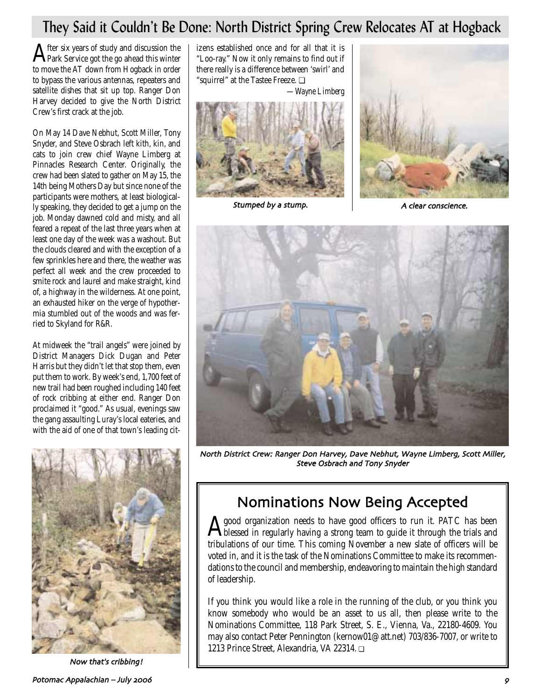## They Said it Couldn't Be Done: North District Spring Crew Relocates AT at Hogback

After six years of study and discussion the Park Service got the go ahead this winter to move the AT down from Hogback in order to bypass the various antennas, repeaters and satellite dishes that sit up top. Ranger Don Harvey decided to give the North District Crew's first crack at the job.

On May 14 Dave Nebhut, Scott Miller, Tony Snyder, and Steve Osbrach left kith, kin, and cats to join crew chief Wayne Limberg at Pinnacles Research Center. Originally, the crew had been slated to gather on May 15, the 14th being Mothers Day but since none of the participants were mothers, at least biologically speaking, they decided to get a jump on the job. Monday dawned cold and misty, and all feared a repeat of the last three years when at least one day of the week was a washout. But the clouds cleared and with the exception of a few sprinkles here and there, the weather was perfect all week and the crew proceeded to smite rock and laurel and make straight, kind of, a highway in the wilderness. At one point, an exhausted hiker on the verge of hypothermia stumbled out of the woods and was ferried to Skyland for R&R.

At midweek the "trail angels" were joined by District Managers Dick Dugan and Peter Harris but they didn't let that stop them, even put them to work. By week's end, 1,700 feet of new trail had been roughed including 140 feet of rock cribbing at either end. Ranger Don proclaimed it "good." As usual, evenings saw the gang assaulting Luray's local eateries, and with the aid of one of that town's leading cit-



Now that's cribbing!

izens established once and for all that it is "Loo-ray." Now it only remains to find out if there really is a difference between 'swirl' and "squirrel" at the Tastee Freeze. ❏

*—Wayne Limberg*



Stumped by a stump



A clear conscience



North District Crew: Ranger Don Harvey, Dave Nebhut, Wayne Limberg, Scott Miller, Steve Osbrach and Tony Snyder

## Nominations Now Being Accepted

A good organization needs to have good officers to run it. PATC has been<br>blessed in regularly having a strong team to guide it through the trials and tribulations of our time. This coming November a new slate of officers will be voted in, and it is the task of the Nominations Committee to make its recommendations to the council and membership, endeavoring to maintain the high standard of leadership.

If you think you would like a role in the running of the club, or you think you know somebody who would be an asset to us all, then please write to the Nominations Committee, 118 Park Street, S. E., Vienna, Va., 22180-4609. You may also contact Peter Pennington (kernow01@att.net) 703/836-7007, or write to 1213 Prince Street, Alexandria, VA 22314. ❏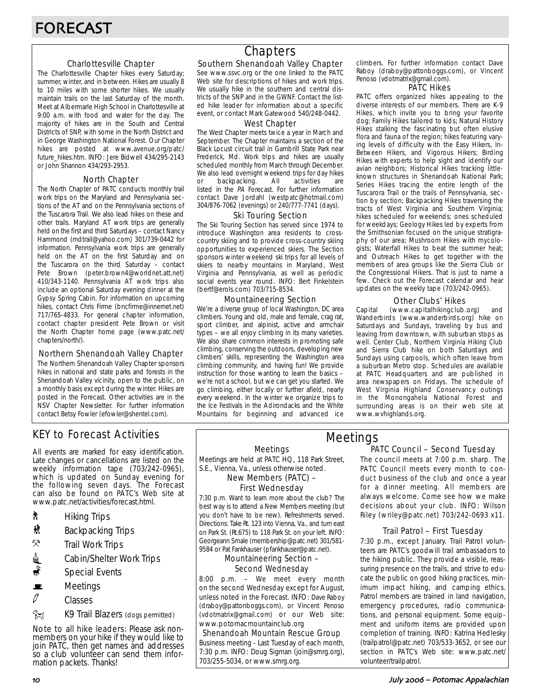### Charlottesville Chapter

The Charlottesville Chapter hikes every Saturday; summer, winter, and in between. Hikes are usually 8 to 10 miles with some shorter hikes. We usually maintain trails on the last Saturday of the month. Meet at Albermarle High School in Charlottesville at 9:00 a.m. with food and water for the day. The majority of hikes are in the South and Central Districts of SNP, with some in the North District and in George Washington National Forest. Our Chapter hikes are posted at www.avenue.org/patc/ future\_hikes.htm. INFO: Jere Bidwell 434/295-2143 or John Shannon 434/293-2953.

### North Chapter

The North Chapter of PATC conducts monthly trail work trips on the Maryland and Pennsylvania sections of the AT and on the Pennsylvania sections of the Tuscarora Trail. We also lead hikes on these and other trails. Maryland AT work trips are generally held on the first and third Saturdays – contact Nancy Hammond (mdtrail@yahoo.com) 301/739-0442 for information. Pennsylvania work trips are generally held on the AT on the first Saturday and on the Tuscarora on the third Saturday – contact Pete Brown (peter.brown4@worldnet.att.net) 410/343-1140. Pennsylvania AT work trips also include an optional Saturday evening dinner at the Gypsy Spring Cabin. For information on upcoming hikes, contact Chris Firme (bncfirme@innernet.net) 717/765-4833. For general chapter information, contact chapter president Pete Brown or visit the North Chapter home page (www.patc.net/ chapters/north/).

### Northern Shenandoah Valley Chapter

The Northern Shenandoah Valley Chapter sponsors hikes in national and state parks and forests in the Shenandoah Valley vicinity, open to the public, on a monthly basis except during the winter. Hikes are posted in the Forecast. Other activities are in the NSV Chapter Newsletter. For further information contact Betsy Fowler (efowler@shentel.com).

### KEY to Forecast Activities

All events are marked for easy identification. Late changes or cancellations are listed on the weekly information tape (703/242-0965), which is updated on Sunday evening for the following seven days. The Forecast can also be found on PATC's Web site at www.patc.net/activities/forecast.html.

- **A** Hiking Trips
- $\mathbf{\hat{R}}$  Backpacking Trips
- $\mathcal{R}$  Trail Work Trips
- <u>d</u> Cabin/Shelter Work Trips
- $\ddot{\bullet}$  Special Events
- $\mathbf{E}$  Meetings
- $\mathscr O$  Classes
- **EX** K9 Trail Blazers (dogs permitted)

Note to all hike leaders: Please ask nonmembers on your hike if they would like to join PATC, then get names and addresses so a club volunteer can send them information packets. Thanks!

## **Chapters**

### Southern Shenandoah Valley Chapter

See www.ssvc.org or the one linked to the PATC Web site for descriptions of hikes and work trips. We usually hike in the southern and central districts of the SNP and in the GWNF. Contact the listed hike leader for information about a specific event, or contact Mark Gatewood 540/248-0442.

#### West Chapter

The West Chapter meets twice a year in March and September. The Chapter maintains a section of the Black Locust circuit trail in Gambrill State Park near Frederick, Md. Work trips and hikes are usually scheduled monthly from March through December. We also lead overnight weekend trips for day hikes or backpacking. All activities are listed in the PA Forecast. For further information contact Dave Jordahl (westpatc@hotmail.com) 304/876-7062 (evenings) or 240/777-7741 (days).

#### Ski Touring Section

The Ski Touring Section has served since 1974 to introduce Washington area residents to crosscountry skiing and to provide cross-country skiing opportunities to experienced skiers. The Section sponsors winter weekend ski trips for all levels of skiers to nearby mountains in Maryland, West Virginia and Pennsylvania, as well as periodic social events year round. INFO: Bert Finkelstein (bertf@erols.com) 703/715-8534.

### Mountaineering Section

We're a diverse group of local Washington, DC area climbers. Young and old, male and female, crag rat, sport climber, and alpinist, active and armchair types – we all enjoy climbing in its many varieties. We also share common interests in promoting safe climbing, conserving the outdoors, developing new climbers' skills, representing the Washington area climbing community, and having fun! We provide instruction for those wanting to learn the basics – we're not a school, but we can get you started. We go climbing, either locally or further afield, nearly every weekend. In the winter we organize trips to the Ice Festivals in the Adirondacks and the White Mountains for beginning and advanced ice

climbers. For further information contact Dave Raboy (draboy@pattonboggs.com), or Vincent Penoso (vdotmatrix@gmail.com).

#### PATC Hikes

PATC offers organized hikes appealing to the diverse interests of our members. There are K-9 Hikes, which invite you to bring your favorite dog; Family Hikes tailored to kids; Natural History Hikes stalking the fascinating but often elusive flora and fauna of the region; hikes featuring varying levels of difficulty with the Easy Hikers, In-Between Hikers, and Vigorous Hikers; Birding Hikes with experts to help sight and identify our avian neighbors; Historical Hikes tracking littleknown structures in Shenandoah National Park; Series Hikes tracing the entire length of the Tuscarora Trail or the trails of Pennsylvania, section by section; Backpacking Hikes traversing the tracts of West Virginia and Southern Virginia; hikes scheduled for weekends; ones scheduled for weekdays; Geology Hikes led by experts from the Smithsonian focused on the unique stratigraphy of our area; Mushroom Hikes with mycologists; Waterfall Hikes to beat the summer heat; and Outreach Hikes to get together with the members of area groups like the Sierra Club or the Congressional Hikers. That is just to name a few. Check out the Forecast calendar and hear updates on the weekly tape (703/242-0965).

### Other Clubs' Hikes

Capital (www.capitalhikingclub.org) and Wanderbirds (www.wanderbirds.org) hike on Saturdays and Sundays, traveling by bus and leaving from downtown, with suburban stops as well. Center Club, Northern Virginia Hiking Club and Sierra Club hike on both Saturdays and Sundays using carpools, which often leave from a suburban Metro stop. Schedules are available at PATC Headquarters and are published in area newspapers on Fridays. The schedule of West Virginia Highland Conservancy outings in the Monongahela National Forest and surrounding areas is on their web site at www.wvhighlands.org.

Meetings

Meetings are held at PATC HQ, 118 Park Street, S.E., Vienna, Va., unless otherwise noted.

New Members (PATC) –

### First Wednesday

7:30 p.m. Want to learn more about the club? The best way is to attend a New Members meeting (but you don't have to be new). Refreshments served. Directions: Take Rt. 123 into Vienna, Va., and turn east on Park St. (Rt.675) to 118 Park St. on your left. INFO: Georgeann Smale (membership@patc.net) 301/581- 9584 or Pat Fankhauser (pfankhauser@patc.net).

#### Mountaineering Section – Second Wednesday

8:00 p.m. – We meet every month on the second Wednesday except for August, unless noted in the Forecast. INFO: Dave Raboy (draboy@pattonboggs.com), or Vincent Penoso (vdotmatrix@gmail.com) or our Web site: www.potomacmountainclub.org

Shenandoah Mountain Rescue Group Business meeting - Last Tuesday of each month, 7:30 p.m. INFO: Doug Sigman (join@smrg.org), 703/255-5034, or www.smrg.org.

### PATC Council – Second Tuesday Meetings

The council meets at 7:00 p.m. sharp. The PATC Council meets every month to conduct business of the club and once a year for a dinner meeting. All members are always welcome. Come see how we make decisions about your club. INFO: Wilson Riley (wriley@patc.net) 703/242-0693 x11.

### Trail Patrol – First Tuesday

7:30 p.m., except January. Trail Patrol volunteers are PATC's goodwill trail ambassadors to the hiking public. They provide a visible, reassuring presence on the trails, and strive to educate the public on good hiking practices, minimum impact hiking, and camping ethics. Patrol members are trained in land navigation, emergency procedures, radio communications, and personal equipment. Some equipment and uniform items are provided upon completion of training. INFO: Katrina Hedlesky (trailpatrol@patc.net) 703/533-3652, or see our section in PATC's Web site: www.patc.net/ volunteer/trailpatrol.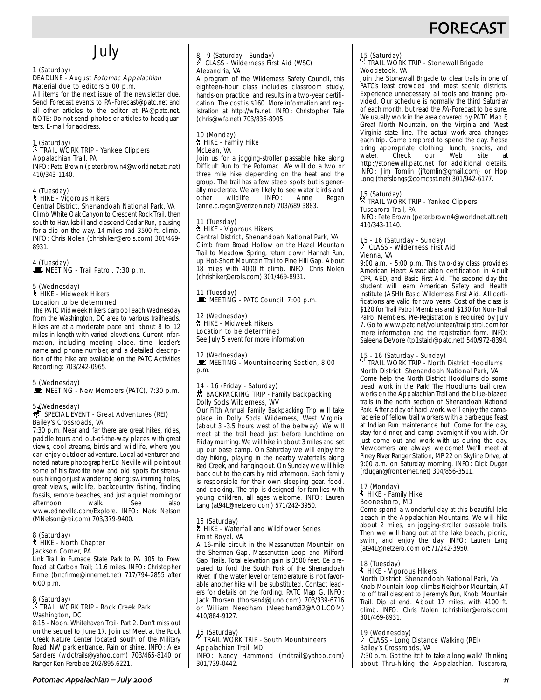## **FORECAS**

## July

#### 1 (Saturday)

#### DEADLINE - August Potomac Appalachian Material due to editors 5:00 p.m.

All items for the next issue of the newsletter due. Send Forecast events to PA-Forecast@patc.net and all other articles to the editor at PA@patc.net. NOTE: Do not send photos or articles to headquarters. E-mail for address.

## 1 (Saturday) . TRAIL WORK TRIP - Yankee Clippers

#### Appalachian Trail, PA

INFO: Pete Brown (peter.brown4@worldnet.att.net) 410/343-1140.

#### 4 (Tuesday)

#### ` HIKE - Vigorous Hikers Central District, Shenandoah National Park, VA

Climb White Oak Canyon to Crescent Rock Trail, then south to Hawksbill and descend Cedar Run, pausing for a dip on the way. 14 miles and 3500 ft. climb. INFO: Chris Nolen (chrishiker@erols.com) 301/469- 8931.

4 (Tuesday) MEETING - Trail Patrol, 7:30 p.m.

#### 5 (Wednesday) ` HIKE - Midweek Hikers Location to be determined

The PATC Midweek Hikers carpool each Wednesday from the Washington, DC area to various trailheads. Hikes are at a moderate pace and about 8 to 12 miles in length with varied elevations. Current information, including meeting place, time, leader's name and phone number, and a detailed description of the hike are available on the PATC Activities Recording: 703/242-0965.

### 5 (Wednesday)

MEETING - New Members (PATC), 7:30 p.m.

### 5. (Wednesday)<br>*\$* SPECIAL EVENT - Great Adventures (REI) Bailey's Crossroads, VA

7:30 p.m. Near and far there are great hikes, rides, paddle tours and out-of-the-way places with great views, cool streams, birds and wildlife, where you can enjoy outdoor adventure. Local adventurer and noted nature photographer Ed Neville will point out some of his favorite new and old spots for strenuous hiking or just wandering along; swimming holes, great views, wildlife, backcountry fishing, finding fossils, remote beaches, and just a quiet morning or afternoon walk. See also www.edneville.com/Explore. INFO: Mark Nelson (MNelson@rei.com) 703/379-9400.

#### 8 (Saturday) ` HIKE - North Chapter Jackson Corner, PA

Link Trail in Furnace State Park to PA 305 to Frew Road at Carbon Trail; 11.6 miles. INFO: Christopher Firme (bncfirme@innernet.net) 717/794-2855 after 6:00 p.m.

### 8 (Saturday) . TRAIL WORK TRIP - Rock Creek Park Washington, DC

8:15 - Noon. Whitehaven Trail- Part 2. Don't miss out on the sequel to June 17. Join us! Meet at the Rock Creek Nature Center located south of the Military Road NW park entrance. Rain or shine. INFO: Alex Sanders (wdctrails@yahoo.com) 703/465-8140 or Ranger Ken Ferebee 202/895.6221.

#### 8 - 9 (Saturday - Sunday) a CLASS - Wilderness First Aid (WSC) Alexandria, VA

A program of the Wilderness Safety Council, this eighteen-hour class includes classroom study, hands-on practice, and results in a two-year certification. The cost is \$160. More information and registration at http://wfa.net. INFO: Christopher Tate (chris@wfa.net) 703/836-8905.

#### 10 (Monday) ` HIKE - Family Hike McLean, VA

Join us for a jogging-stroller passable hike along Difficult Run to the Potomac. We will do a two or three mile hike depending on the heat and the group. The trail has a few steep spots but is generally moderate. We are likely to see water birds and<br>other wildlife. INFO: Anne Regan wildlife. (anne.c.regan@verizon.net) 703/689 3883.

### 11 (Tuesday) **A** HIKE - Vigorous Hikers Central District, Shenandoah National Park, VA

Climb from Broad Hollow on the Hazel Mountain Trail to Meadow Spring, return down Hannah Run, up Hot-Short Mountain Trail to Pine Hill Gap. About 18 miles with 4000 ft climb. INFO: Chris Nolen (chrishiker@erols.com) 301/469-8931.

11 (Tuesday) MEETING - PATC Council, 7:00 p.m.

#### 12 (Wednesday) ` HIKE - Midweek Hikers Location to be determined

See July 5 event for more information.

#### 12 (Wednesday)

MEETING - Mountaineering Section, 8:00 p.m.

#### 14 - 16 (Friday - Saturday) ~ BACKPACKING TRIP - Family Backpacking Dolly Sods Wilderness, WV

Our Fifth Annual Family Backpacking Trip will take place in Dolly Sods Wilderness, West Virginia. (about 3 -3.5 hours west of the beltway). We will meet at the trail head just before lunchtime on Friday morning. We will hike in about 3 miles and set up our base camp. On Saturday we will enjoy the day hiking, playing in the nearby waterfalls along Red Creek, and hanging out. On Sunday we will hike back out to the cars by mid afternoon. Each family is responsible for their own sleeping gear, food, and cooking. The trip is designed for families with young children, all ages welcome. INFO: Lauren Lang (at94L@netzero.com) 571/242-3950.

#### 15 (Saturday) ` HIKE - Waterfall and Wildflower Series Front Royal, VA

A 16-mile circuit in the Massanutten Mountain on the Sherman Gap, Massanutten Loop and Milford Gap Trails. Total elevation gain is 3500 feet. Be prepared to ford the South Fork of the Shenandoah River. If the water level or temperature is not favorable another hike will be substituted. Contact leaders for details on the fording. PATC Map G. INFO: Jack Thorsen (thorsen4@Juno.com) 703/339-6716 or William Needham (Needham82@AOL.COM) 410/884-9127.

### 15 (Saturday) . TRAIL WORK TRIP - South Mountaineers Appalachian Trail, MD

INFO: Nancy Hammond (mdtrail@yahoo.com) 301/739-0442.

### 15 (Saturday) . TRAIL WORK TRIP - Stonewall Brigade Woodstock, VA

Join the Stonewall Brigade to clear trails in one of PATC's least crowded and most scenic districts. Experience unnecessary, all tools and training provided. Our schedule is normally the third Saturday of each month, but read the PA-Forecast to be sure. We usually work in the area covered by PATC Map F, Great North Mountain, on the Virginia and West Virginia state line. The actual work area changes each trip. Come prepared to spend the day. Please bring appropriate clothing, lunch, snacks, and<br>water. Check our Web site at water. Check our Web site at http://stonewall.patc.net for additional details. INFO: Jim Tomlin (jftomlin@gmail.com) or Hop Long (thefslongs@comcast.net) 301/942-6177.

### 15 (Saturday) . TRAIL WORK TRIP - Yankee Clippers Tuscarora Trail, PA

INFO: Pete Brown (peter.brown4@worldnet.att.net) 410/343-1140.

### 15 - 16 (Saturday - Sunday) a CLASS - Wilderness First Aid Vienna, VA

9:00 a.m. - 5:00 p.m. This two-day class provides American Heart Association certification in Adult CPR, AED, and Basic First Aid. The second day the student will learn American Safety and Health Institute (ASHI) Basic Wilderness First Aid. All certifications are valid for two years. Cost of the class is \$120 for Trail Patrol Members and \$130 for Non-Trail Patrol Members. Pre-Registration is required by July 7. Go to www.patc.net/volunteer/trailpatrol.com for more information and the registration form. INFO: Saleena DeVore (tp1staid@patc.net) 540/972-8394.

### 15 - 16 (Saturday - Sunday) . TRAIL WORK TRIP - North District Hoodlums North District, Shenandoah National Park, VA

Come help the North District Hoodlums do some tread work in the Park! The Hoodlums trail crew works on the Appalachian Trail and the blue-blazed trails in the north section of Shenandoah National Park. After a day of hard work, we'll enjoy the camaraderie of fellow trail workers with a barbeque feast at Indian Run maintenance hut. Come for the day, stay for dinner, and camp overnight if you wish. Or just come out and work with us during the day. Newcomers are always welcome! We'll meet at Piney River Ranger Station, MP 22 on Skyline Drive, at 9:00 a.m. on Saturday morning. INFO: Dick Dugan (rdugan@frontiernet.net) 304/856-3511.

#### 17 (Monday) ` HIKE - Family Hike Boonesboro, MD

Come spend a wonderful day at this beautiful lake beach in the Appalachian Mountains. We will hike about 2 miles, on jogging-stroller passable trails. Then we will hang out at the lake beach, picnic, swim, and enjoy the day. INFO: Lauren Lang (at94L@netzero.com or571/242-3950.

#### 18 (Tuesday) ` HIKE - Vigorous Hikers North District, Shenandoah National Park, Va

Knob Mountain loop climbs Neighbor Mountain, AT to off trail descent to Jeremy's Run, Knob Mountain Trail. Dip at end. About 17 miles, with 4100 ft. climb. INFO: Chris Nolen (chrishiker@erols.com) 301/469-8931.

### 19 (Wednesday) a CLASS - Long Distance Walking (REI) Bailey's Crossroads, VA

7:30 p.m. Got the itch to take a long walk? Thinking about Thru-hiking the Appalachian, Tuscarora,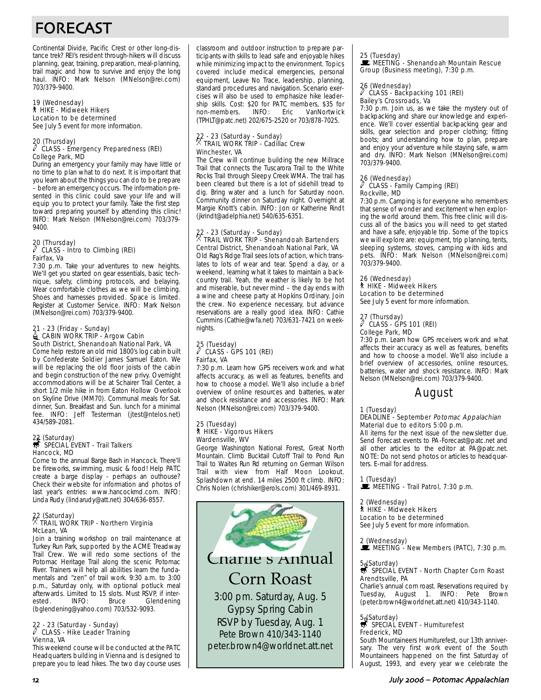# FORECAST

Continental Divide, Pacific Crest or other long-distance trek? REI's resident through-hikers will discuss planning, gear, training, preparation, meal-planning, trail magic and how to survive and enjoy the long haul. INFO: Mark Nelson (MNelson@rei.com) 703/379-9400.

#### 19 (Wednesday) ` HIKE - Midweek Hikers Location to be determined See July 5 event for more information.

### 20 (Thursday) a CLASS - Emergency Preparedness (REI) College Park, MD

During an emergency your family may have little or no time to plan what to do next. It is important that you learn about the things you can do to be prepare – before an emergency occurs. The information presented in this clinic could save your life and will equip you to protect your family. Take the first step toward preparing yourself by attending this clinic! INFO: Mark Nelson (MNelson@rei.com) 703/379- 9400.

#### 20 (Thursday)  $\overline{C}$  CLASS - Intro to Climbing (REI) Fairfax, Va

7:30 p.m. Take your adventures to new heights. We'll get you started on gear essentials, basic technique, safety, climbing protocols, and belaying. Wear comfortable clothes as we will be climbing. Shoes and harnesses provided. Space is limited. Register at Customer Service. INFO: Mark Nelson (MNelson@rei.com) 703/379-9400.

#### 21 - 23 (Friday - Sunday)  $\triangleq$  CABIN WORK TRIP - Argow Cabin South District, Shenandoah National Park, VA

Come help restore an old mid 1800's log cabin built by Confederate Soldier James Samuel Eaton. We will be replacing the old floor joists of the cabin and begin construction of the new privy. Overnight accommodations will be at Schairer Trail Center, a short 1/2 mile hike in from Eaton Hollow Overlook on Skyline Drive (MM70). Communal meals for Sat. dinner, Sun. Breakfast and Sun. lunch for a minimal fee. INFO: Jeff Testerman (jtest@ntelos.net) 434/589-2081.

### 22 (Saturday)<br>
SPECIAL EVENT - Trail Talkers Hancock, MD

Come to the annual Barge Bash in Hancock. There'll be fireworks, swimming, music & food! Help PATC create a barge display - perhaps an outhouse? Check their website for information and photos of last year's entries: www.hancockmd.com. INFO: Linda Rudy (lindarudy@att.net) 304/636-8557.

### 22 (Saturday) . TRAIL WORK TRIP - Northern Virginia McLean, VA

Join a training workshop on trail maintenance at Turkey Run Park, supported by the ACME Treadway Trail Crew. We will redo some sections of the Potomac Heritage Trail along the scenic Potomac River. Trainers will help all abilities learn the fundamentals and "zen" of trail work. 9:30 a.m. to 3:00 p.m., Saturday only, with optional potluck meal afterwards. Limited to 15 slots. Must RSVP, if inter-<br>ested. INFO: Bruce Glendening Glendening (bglendening@yahoo.com) 703/532-9093.

### 22 - 23 (Saturday - Sunday) a CLASS - Hike Leader Training Vienna, VA

This weekend course will be conducted at the PATC Headquarters building in Vienna and is designed to prepare you to lead hikes. The two day course uses classroom and outdoor instruction to prepare participants with skills to lead safe and enjoyable hikes while minimizing impact to the environment. Topics covered include medical emergencies, personal equipment, Leave No Trace, leadership, planning, standard procedures and navigation. Scenario exercises will also be used to emphasize hike leadership skills. Cost: \$20 for PATC members, \$35 for non-members. (TPHLT@patc.net) 202/675-2520 or 703/878-7025.

## 22 - 23 (Saturday - Sunday) . TRAIL WORK TRIP - Cadillac Crew Winchester, VA

The Crew will continue building the new Millrace Trail that connects the Tuscarora Trail to the White Rocks Trail through Sleepy Creek WMA. The trail has been cleared but there is a lot of sidehill tread to dig. Bring water and a lunch for Saturday noon. Community dinner on Saturday night. Overnight at Margie Knott's cabin. INFO: Jon or Katherine Rindt (jkrindt@adelphia.net) 540/635-6351.

### 22 - 23 (Saturday - Sunday) . TRAIL WORK TRIP - Shenandoah Bartenders Central District, Shenandoah National Park, VA Old Rag's Ridge Trail sees lots of action, which trans-

lates to lots of wear and tear. Spend a day, or a weekend, learning what it takes to maintain a backcountry trail. Yeah, the weather is likely to be hot and miserable, but never mind – the day ends with a wine and cheese party at Hopkins Ordinary. Join the crew. No experience necessary, but advance reservations are a really good idea. INFO: Cathie Cummins (Cathie@wfa.net) 703/631-7421 on weeknights.

## 25 (Tuesday) a CLASS - GPS 101 (REI) Fairfax, VA

7:30 p.m. Learn how GPS receivers work and what affects accuracy, as well as features, benefits and how to choose a model. We'll also include a brief overview of online resources and batteries, water and shock resistance and accessories. INFO: Mark Nelson (MNelson@rei.com) 703/379-9400.

#### 25 (Tuesday) ` HIKE - Vigorous Hikers Wardensville, WV

George Washington National Forest, Great North Mountain. Climb Bucktail Cutoff Trail to Pond Run Trail to Waites Run Rd returning on German Wilson Trail with view from Half Moon Lookout. Splashdown at end. 14 miles 2500 ft climb. INFO: Chris Nolen (chrishiker@erols.com) 301/469-8931.



Charlie's Annual Corn Roast

3:00 pm. Saturday, Aug. 5 Gypsy Spring Cabin RSVP by Tuesday, Aug. 1 Pete Brown 410/343-1140 peter.brown4@worldnet.att.net

### 25 (Tuesday)

**MEETING - Shenandoah Mountain Rescue** Group (Business meeting), 7:30 p.m.

### 26 (Wednesday) a CLASS - Backpacking 101 (REI) Bailey's Crossroads, Va

7:30 p.m. Join us, as we take the mystery out of backpacking and share our knowledge and experience. We'll cover essential backpacking gear and skills, gear selection and proper clothing; fitting boots; and understanding how to plan, prepare and enjoy your adventure while staying safe, warm and dry. INFO: Mark Nelson (MNelson@rei.com) 703/379-9400.

### 26 (Wednesday) a CLASS - Family Camping (REI) Rockville, MD

7:30 p.m. Camping is for everyone who remembers that sense of wonder and excitement when exploring the world around them. This free clinic will discuss all of the basics you will need to get started and have a safe, enjoyable trip. Some of the topics we will explore are: equipment, trip planning, tents, sleeping systems, stoves, camping with kids and pets. INFO: Mark Nelson (MNelson@rei.com) 703/379-9400.

#### 26 (Wednesday) ` HIKE - Midweek Hikers Location to be determined See July 5 event for more information.

### 27 (Thursday) a CLASS - GPS 101 (REI) College Park, MD

7:30 p.m. Learn how GPS receivers work and what affects their accuracy as well as features, benefits and how to choose a model. We'll also include a brief overview of accessories, online resources, batteries, water and shock resistance. INFO: Mark Nelson (MNelson@rei.com) 703/379-9400.

### August

1 (Tuesday)

#### DEADLINE - September Potomac Appalachian Material due to editors 5:00 p.m.

All items for the next issue of the newsletter due. Send Forecast events to PA-Forecast@patc.net and all other articles to the editor at PA@patc.net. NOTE: Do not send photos or articles to headquarters. E-mail for address.

1 (Tuesday)<br>■ MEETING - Trail Patrol, 7:30 p.m.

### 2 (Wednesday)

` HIKE - Midweek Hikers Location to be determined See July 5 event for more information.

2 (Wednesday)

 $\mathbf{\dot{F}}$  MEETING - New Members (PATC), 7:30 p.m.

### 5.(Saturday)<br>\$ SPECIAL EVENT - North Chapter Corn Roast Arendtsville, PA

Charlie's annual corn roast. Reservations required by Tuesday, August 1. INFO: Pete Brown (peter.brown4@worldnet.att.net) 410/343-1140.

### 5. (Saturday)<br>
SPECIAL EVENT - Humiturefest Frederick, MD

South Mountaineers Humiturefest, our 13th anniversary. The very first work event of the South Mountaineers happened on the first Saturday of August, 1993, and every year we celebrate the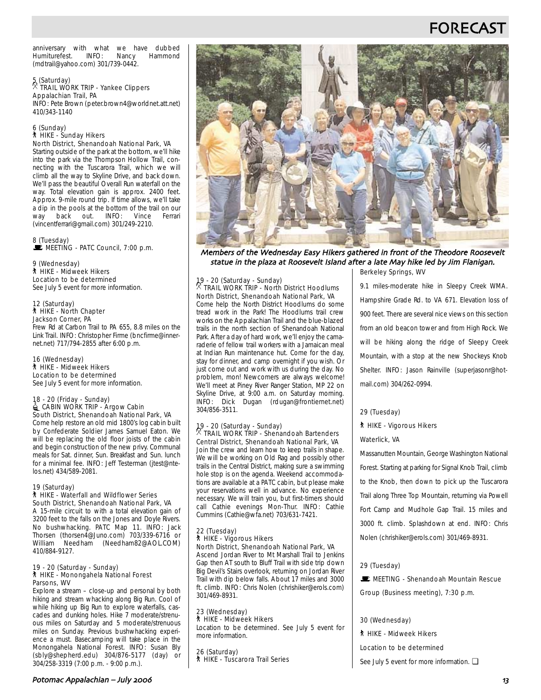## FORECAS<sup>-</sup>

anniversary with what we have dubbed<br>Humiturefest. INFO: Nancy Hammond Humiturefest. (mdtrail@yahoo.com) 301/739-0442.

#### 5 (Saturday) . TRAIL WORK TRIP - Yankee Clippers Appalachian Trail, PA INFO: Pete Brown (peter.brown4@worldnet.att.net)

410/343-1140

#### 6 (Sunday) ` HIKE - Sunday Hikers North District, Shenandoah National Park, VA

Starting outside of the park at the bottom, we'll hike into the park via the Thompson Hollow Trail, connecting with the Tuscarora Trail, which we will climb all the way to Skyline Drive, and back down. We'll pass the beautiful Overall Run waterfall on the way. Total elevation gain is approx. 2400 feet. Approx. 9-mile round trip. If time allows, we'll take a dip in the pools at the bottom of the trail on our way back out. INFO: Vince Ferrari (vincentferrari@gmail.com) 301/249-2210.

#### 8 (Tuesday) MEETING - PATC Council, 7:00 p.m.

#### 9 (Wednesday) ` HIKE - Midweek Hikers Location to be determined

See July 5 event for more information.

#### 12 (Saturday) ` HIKE - North Chapter Jackson Corner, PA

Frew Rd at Carbon Trail to PA 655, 8.8 miles on the Link Trail. INFO: Christopher Firme (bncfirme@innernet.net) 717/794-2855 after 6:00 p.m.

#### 16 (Wednesday) ` HIKE - Midweek Hikers Location to be determined

See July 5 event for more information.

#### 18 - 20 (Friday - Sunday) CABIN WORK TRIP - Argow Cabin South District, Shenandoah National Park, VA

Come help restore an old mid 1800's log cabin built by Confederate Soldier James Samuel Eaton. We will be replacing the old floor joists of the cabin and begin construction of the new privy. Communal meals for Sat. dinner, Sun. Breakfast and Sun. lunch for a minimal fee. INFO: Jeff Testerman (jtest@ntelos.net) 434/589-2081.

#### 19 (Saturday) ` HIKE - Waterfall and Wildflower Series South District, Shenandoah National Park, VA

A 15-mile circuit to with a total elevation gain of 3200 feet to the falls on the Jones and Doyle Rivers. No bushwhacking. PATC Map 11. INFO: Jack Thorsen (thorsen4@Juno.com) 703/339-6716 or<br>William Needham (Needham82@AOL.COM) Needham (Needham82@AOL.COM) 410/884-9127.

#### 19 - 20 (Saturday - Sunday) ` HIKE - Monongahela National Forest Parsons, WV

Explore a stream – close-up and personal by both hiking and stream whacking along Big Run. Cool of while hiking up Big Run to explore waterfalls, cascades and dunking holes. Hike 7 moderate/strenuous miles on Saturday and 5 moderate/strenuous miles on Sunday. Previous bushwhacking experience a must. Basecamping will take place in the Monongahela National Forest. INFO: Susan Bly (sbly@shepherd.edu) 304/876-5177 (day) or 304/258-3319 (7:00 p.m. - 9:00 p.m.).



Berkeley Springs, WV Members of the Wednesday Easy Hikers gathered in front of the Theodore Roosevelt statue in the plaza at Roosevelt Island after a late May hike led by Jim Flanigan

### 19 - 20 (Saturday - Sunday) . TRAIL WORK TRIP - North District Hoodlums North District, Shenandoah National Park, VA

Come help the North District Hoodlums do some tread work in the Park! The Hoodlums trail crew works on the Appalachian Trail and the blue-blazed trails in the north section of Shenandoah National Park. After a day of hard work, we'll enjoy the camaraderie of fellow trail workers with a Jamaican meal at Indian Run maintenance hut. Come for the day, stay for dinner, and camp overnight if you wish. Or just come out and work with us during the day. No problem, mon! Newcomers are always welcome! We'll meet at Piney River Ranger Station, MP 22 on Skyline Drive, at 9:00 a.m. on Saturday morning. INFO: Dick Dugan (rdugan@frontiernet.net) 304/856-3511.

### 19 - 20 (Saturday - Sunday) . TRAIL WORK TRIP - Shenandoah Bartenders Central District, Shenandoah National Park, VA

Join the crew and learn how to keep trails in shape. We will be working on Old Rag and possibly other trails in the Central District, making sure a swimming hole stop is on the agenda. Weekend accommodations are available at a PATC cabin, but please make your reservations well in advance. No experience necessary. We will train you, but first-timers should call Cathie evenings Mon-Thur. INFO: Cathie Cummins (Cathie@wfa.net) 703/631-7421.

#### 22 (Tuesday) ` HIKE - Vigorous Hikers North District, Shenandoah National Park, VA

Ascend Jordan River to Mt Marshall Trail to Jenkins Gap then AT south to Bluff Trail with side trip down Big Devil's Stairs overlook, returning on Jordan River Trail with dip below falls. About 17 miles and 3000 ft. climb. INFO: Chris Nolen (chrishiker@erols.com) 301/469-8931.

#### 23 (Wednesday) ` HIKE - Midweek Hikers

Location to be determined. See July 5 event for more information.

26 (Saturday) ` HIKE - Tuscarora Trail Series

9.1 miles-moderate hike in Sleepy Creek WMA. Hampshire Grade Rd. to VA 671. Elevation loss of 900 feet. There are several nice views on this section from an old beacon tower and from High Rock. We will be hiking along the ridge of Sleepy Creek Mountain, with a stop at the new Shockeys Knob Shelter. INFO: Jason Rainville (superjasonr@hotmail.com) 304/262-0994.

#### 29 (Tuesday)

#### **\* HIKE - Vigorous Hikers**

#### Waterlick, VA

Massanutten Mountain, George Washington National Forest. Starting at parking for Signal Knob Trail, climb to the Knob, then down to pick up the Tuscarora Trail along Three Top Mountain, returning via Powell Fort Camp and Mudhole Gap Trail. 15 miles and 3000 ft. climb. Splashdown at end. INFO: Chris Nolen (chrishiker@erols.com) 301/469-8931.

#### 29 (Tuesday)

**E** MEETING - Shenandoah Mountain Rescue Group (Business meeting), 7:30 p.m.

#### 30 (Wednesday)

` HIKE - Midweek Hikers

Location to be determined

See July 5 event for more information. □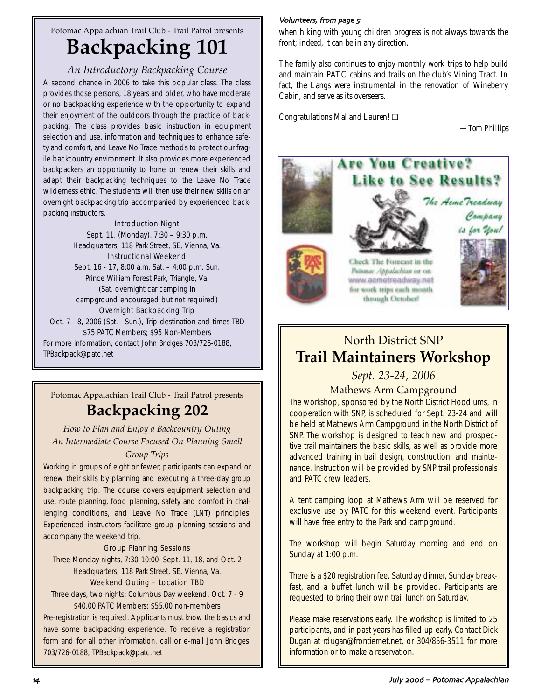## Potomac Appalachian Trail Club - Trail Patrol presents **Backpacking 101**

### *An Introductory Backpacking Course*

A second chance in 2006 to take this popular class. The class provides those persons, 18 years and older, who have moderate or no backpacking experience with the opportunity to expand their enjoyment of the outdoors through the practice of backpacking. The class provides basic instruction in equipment selection and use, information and techniques to enhance safety and comfort, and Leave No Trace methods to protect our fragile backcountry environment. It also provides more experienced backpackers an opportunity to hone or renew their skills and adapt their backpacking techniques to the Leave No Trace wilderness ethic. The students will then use their new skills on an overnight backpacking trip accompanied by experienced backpacking instructors.

### Introduction Night

Sept. 11, (Monday), 7:30 – 9:30 p.m. Headquarters, 118 Park Street, SE, Vienna, Va. Instructional Weekend Sept. 16 - 17, 8:00 a.m. Sat. – 4:00 p.m. Sun. Prince William Forest Park, Triangle, Va. (Sat. overnight car camping in campground encouraged but not required) Overnight Backpacking Trip Oct. 7 - 8, 2006 (Sat. - Sun.), Trip destination and times TBD \$75 PATC Members; \$95 Non-Members For more information, contact John Bridges 703/726-0188, TPBackpack@patc.net

## Potomac Appalachian Trail Club - Trail Patrol presents **Backpacking 202**

*How to Plan and Enjoy a Backcountry Outing An Intermediate Course Focused On Planning Small Group Trips*

Working in groups of eight or fewer, participants can expand or renew their skills by planning and executing a three-day group backpacking trip. The course covers equipment selection and use, route planning, food planning, safety and comfort in challenging conditions, and Leave No Trace (LNT) principles. Experienced instructors facilitate group planning sessions and accompany the weekend trip.

### Group Planning Sessions

Three Monday nights, 7:30-10:00: Sept. 11, 18, and Oct. 2 Headquarters, 118 Park Street, SE, Vienna, Va.

### Weekend Outing – Location TBD

Three days, two nights: Columbus Day weekend, Oct. 7 - 9 \$40.00 PATC Members; \$55.00 non-members

Pre-registration is required. Applicants must know the basics and have some backpacking experience. To receive a registration form and for all other information, call or e-mail John Bridges: 703/726-0188, TPBackpack@patc.net

### Volunteers, from page 5

when hiking with young children progress is not always towards the front; indeed, it can be in any direction.

The family also continues to enjoy monthly work trips to help build and maintain PATC cabins and trails on the club's Vining Tract. In fact, the Langs were instrumental in the renovation of Wineberry Cabin, and serve as its overseers.

Congratulations Mal and Lauren! ❏

*—Tom Phillips*



## North District SNP **Trail Maintainers Workshop**

## *Sept. 23-24, 2006*

### Mathews Arm Campground

The workshop, sponsored by the North District Hoodlums, in cooperation with SNP, is scheduled for Sept. 23-24 and will be held at Mathews Arm Campground in the North District of SNP. The workshop is designed to teach new and prospective trail maintainers the basic skills, as well as provide more advanced training in trail design, construction, and maintenance. Instruction will be provided by SNP trail professionals and PATC crew leaders.

A tent camping loop at Mathews Arm will be reserved for exclusive use by PATC for this weekend event. Participants will have free entry to the Park and campground.

The workshop will begin Saturday morning and end on Sunday at 1:00 p.m.

There is a \$20 registration fee. Saturday dinner, Sunday breakfast, and a buffet lunch will be provided. Participants are requested to bring their own trail lunch on Saturday.

Please make reservations early. The workshop is limited to 25 participants, and in past years has filled up early. Contact Dick Dugan at rdugan@frontiernet.net, or 304/856-3511 for more information or to make a reservation.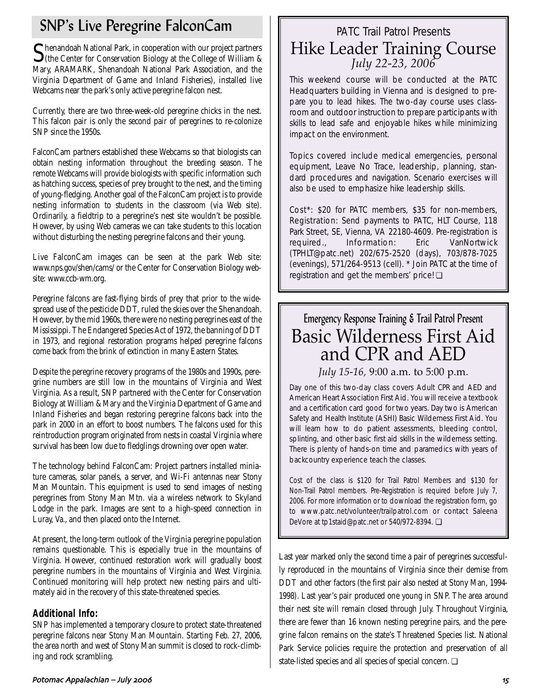## SNP's Live Peregrine FalconCam

Shenandoah National Park, in cooperation with our project partners<br>
(the Center for Conservation Biology at the College of William & Mary, ARAMARK, Shenandoah National Park Association, and the Virginia Department of Game and Inland Fisheries), installed live Webcams near the park's only active peregrine falcon nest.

Currently, there are two three-week-old peregrine chicks in the nest. This falcon pair is only the second pair of peregrines to re-colonize SNP since the 1950s.

FalconCam partners established these Webcams so that biologists can obtain nesting information throughout the breeding season. The remote Webcams will provide biologists with specific information such as hatching success, species of prey brought to the nest, and the timing of young-fledging. Another goal of the FalconCam project is to provide nesting information to students in the classroom (via Web site). Ordinarily, a fieldtrip to a peregrine's nest site wouldn't be possible. However, by using Web cameras we can take students to this location without disturbing the nesting peregrine falcons and their young.

Live FalconCam images can be seen at the park Web site: www.nps.gov/shen/cams/ or the Center for Conservation Biology website: www.ccb-wm.org.

Peregrine falcons are fast-flying birds of prey that prior to the widespread use of the pesticide DDT, ruled the skies over the Shenandoah. However, by the mid 1960s, there were no nesting peregrines east of the Mississippi. The Endangered Species Act of 1972, the banning of DDT in 1973, and regional restoration programs helped peregrine falcons come back from the brink of extinction in many Eastern States.

Despite the peregrine recovery programs of the 1980s and 1990s, peregrine numbers are still low in the mountains of Virginia and West Virginia. As a result, SNP partnered with the Center for Conservation Biology at William & Mary and the Virginia Department of Game and Inland Fisheries and began restoring peregrine falcons back into the park in 2000 in an effort to boost numbers. The falcons used for this reintroduction program originated from nests in coastal Virginia where survival has been low due to fledglings drowning over open water.

The technology behind FalconCam: Project partners installed miniature cameras, solar panels, a server, and Wi-Fi antennas near Stony Man Mountain. This equipment is used to send images of nesting peregrines from Stony Man Mtn. via a wireless network to Skyland Lodge in the park. Images are sent to a high-speed connection in Luray, Va., and then placed onto the Internet.

At present, the long-term outlook of the Virginia peregrine population remains questionable. This is especially true in the mountains of Virginia. However, continued restoration work will gradually boost peregrine numbers in the mountains of Virginia and West Virginia. Continued monitoring will help protect new nesting pairs and ultimately aid in the recovery of this state-threatened species.

### **Additional Info:**

SNP has implemented a temporary closure to protect state-threatened peregrine falcons near Stony Man Mountain. Starting Feb. 27, 2006, the area north and west of Stony Man summit is closed to rock-climbing and rock scrambling.

# PATC Trail Patrol Presents Hike Leader Training Course *July 22-23, 2006*

This weekend course will be conducted at the PATC Headquarters building in Vienna and is designed to prepare you to lead hikes. The two-day course uses classroom and outdoor instruction to prepare participants with skills to lead safe and enjoyable hikes while minimizing impact on the environment.

Topics covered include medical emergencies, personal equipment, Leave No Trace, leadership, planning, standard procedures and navigation. Scenario exercises will also be used to emphasize hike leadership skills.

Cost\*: \$20 for PATC members, \$35 for non-members, Registration: Send payments to PATC, HLT Course, 118 Park Street, SE, Vienna, VA 22180-4609. Pre-registration is required., Information: Eric VanNortwick (TPHLT@patc.net) 202/675-2520 (days), 703/878-7025 (evenings), 571/264-9513 (cell). \* Join PATC at the time of registration and get the members' price! ❏

# Emergency Response Training & Trail Patrol Present Basic Wilderness First Aid and CPR and AED

*July 15-16,* 9:00 a.m. to 5:00 p.m.

Day one of this two-day class covers Adult CPR and AED and American Heart Association First Aid. You will receive a textbook and a certification card good for two years. Day two is American Safety and Health Institute (ASHI) Basic Wilderness First Aid. You will learn how to do patient assessments, bleeding control, splinting, and other basic first aid skills in the wilderness setting. There is plenty of hands-on time and paramedics with years of backcountry experience teach the classes.

Cost of the class is \$120 for Trail Patrol Members and \$130 for Non-Trail Patrol members. Pre-Registration is required before July 7, 2006. For more information or to download the registration form, go to www.patc.net/volunteer/trailpatrol.com or contact Saleena DeVore at tp1staid@patc.net or 540/972-8394. ❏

Last year marked only the second time a pair of peregrines successfully reproduced in the mountains of Virginia since their demise from DDT and other factors (the first pair also nested at Stony Man, 1994- 1998). Last year's pair produced one young in SNP. The area around their nest site will remain closed through July. Throughout Virginia, there are fewer than 16 known nesting peregrine pairs, and the peregrine falcon remains on the state's Threatened Species list. National Park Service policies require the protection and preservation of all state-listed species and all species of special concern. ❏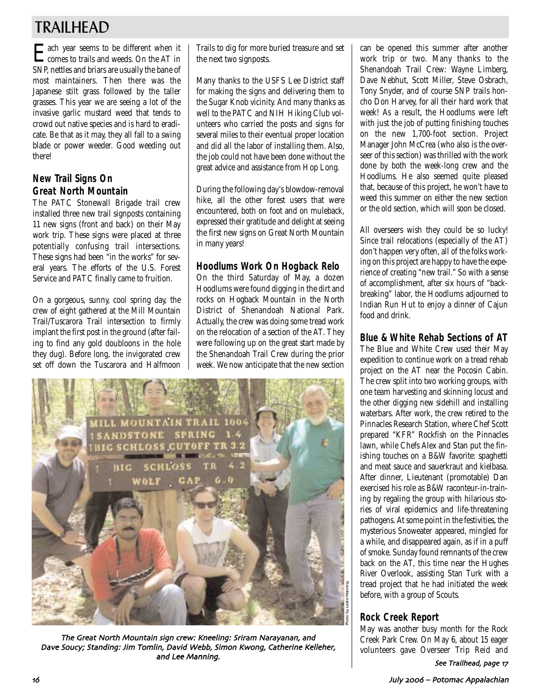# TRAILHEAD

Each year seems to be different when it comes to trails and weeds. On the AT in SNP, nettles and briars are usually the bane of most maintainers. Then there was the Japanese stilt grass followed by the taller grasses. This year we are seeing a lot of the invasive garlic mustard weed that tends to crowd out native species and is hard to eradicate. Be that as it may, they all fall to a swing blade or power weeder. Good weeding out there!

### **New Trail Signs On Great North Mountain**

The PATC Stonewall Brigade trail crew installed three new trail signposts containing 11 new signs (front and back) on their May work trip. These signs were placed at three potentially confusing trail intersections. These signs had been "in the works" for several years. The efforts of the U.S. Forest Service and PATC finally came to fruition.

On a gorgeous, sunny, cool spring day, the crew of eight gathered at the Mill Mountain Trail/Tuscarora Trail intersection to firmly implant the first post in the ground (after failing to find any gold doubloons in the hole they dug). Before long, the invigorated crew set off down the Tuscarora and Halfmoon

Trails to dig for more buried treasure and set the next two signposts.

Many thanks to the USFS Lee District staff for making the signs and delivering them to the Sugar Knob vicinity. And many thanks as well to the PATC and NIH Hiking Club volunteers who carried the posts and signs for several miles to their eventual proper location and did all the labor of installing them. Also, the job could not have been done without the great advice and assistance from Hop Long.

During the following day's blowdow-removal hike, all the other forest users that were encountered, both on foot and on muleback, expressed their gratitude and delight at seeing the first new signs on Great North Mountain in many years!

### **Hoodlums Work On Hogback Relo**

On the third Saturday of May, a dozen Hoodlums were found digging in the dirt and rocks on Hogback Mountain in the North District of Shenandoah National Park. Actually, the crew was doing some tread work on the relocation of a section of the AT. They were following up on the great start made by the Shenandoah Trail Crew during the prior week. We now anticipate that the new section



The Great North Mountain sign crew: Kneeling: Sriram Narayanan, and Dave Soucy; Standing: Jim Tomlin, David Webb, Simon Kwong, Catherine Kelleher, and Lee Manning.

can be opened this summer after another work trip or two. Many thanks to the Shenandoah Trail Crew: Wayne Limberg, Dave Nebhut, Scott Miller, Steve Osbrach, Tony Snyder, and of course SNP trails honcho Don Harvey, for all their hard work that week! As a result, the Hoodlums were left with just the job of putting finishing touches on the new 1,700-foot section. Project Manager John McCrea (who also is the overseer of this section) was thrilled with the work done by both the week-long crew and the Hoodlums. He also seemed quite pleased that, because of this project, he won't have to weed this summer on either the new section or the old section, which will soon be closed.

All overseers wish they could be so lucky! Since trail relocations (especially of the AT) don't happen very often, all of the folks working on this project are happy to have the experience of creating "new trail." So with a sense of accomplishment, after six hours of "backbreaking" labor, the Hoodlums adjourned to Indian Run Hut to enjoy a dinner of Cajun food and drink.

### **Blue & White Rehab Sections of AT**

The Blue and White Crew used their May expedition to continue work on a tread rehab project on the AT near the Pocosin Cabin. The crew split into two working groups, with one team harvesting and skinning locust and the other digging new sidehill and installing waterbars. After work, the crew retired to the Pinnacles Research Station, where Chef Scott prepared "KFR" Rockfish on the Pinnacles lawn, while Chefs Alex and Stan put the finishing touches on a B&W favorite: spaghetti and meat sauce and sauerkraut and kielbasa. After dinner, Lieutenant (promotable) Dan exercised his role as B&W raconteur-in-training by regaling the group with hilarious stories of viral epidemics and life-threatening pathogens. At some point in the festivities, the mysterious Snoweater appeared, mingled for a while, and disappeared again, as if in a puff of smoke. Sunday found remnants of the crew back on the AT, this time near the Hughes River Overlook, assisting Stan Turk with a tread project that he had initiated the week before, with a group of Scouts.

### **Rock Creek Report**

May was another busy month for the Rock Creek Park Crew. On May 6, about 15 eager volunteers gave Overseer Trip Reid and See Trailhead, page 17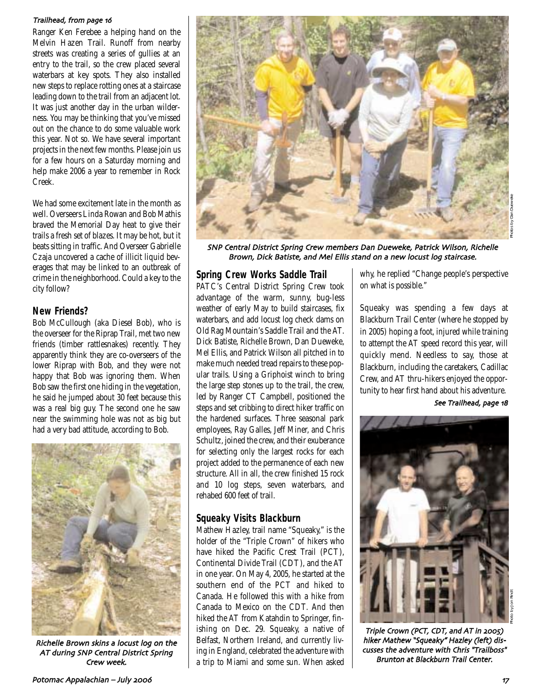#### Trailhead, from page 16

Ranger Ken Ferebee a helping hand on the Melvin Hazen Trail. Runoff from nearby streets was creating a series of gullies at an entry to the trail, so the crew placed several waterbars at key spots. They also installed new steps to replace rotting ones at a staircase leading down to the trail from an adjacent lot. It was just another day in the urban wilderness. You may be thinking that you've missed out on the chance to do some valuable work this year. Not so. We have several important projects in the next few months. Please join us for a few hours on a Saturday morning and help make 2006 a year to remember in Rock Creek.

We had some excitement late in the month as well. Overseers Linda Rowan and Bob Mathis braved the Memorial Day heat to give their trails a fresh set of blazes. It may be hot, but it beats sitting in traffic. And Overseer Gabrielle Czaja uncovered a cache of illicit liquid beverages that may be linked to an outbreak of crime in the neighborhood. Could a key to the city follow?

### **New Friends?**

Bob McCullough (aka Diesel Bob), who is the overseer for the Riprap Trail, met two new friends (timber rattlesnakes) recently. They apparently think they are co-overseers of the lower Riprap with Bob, and they were not happy that Bob was ignoring them. When Bob saw the first one hiding in the vegetation, he said he jumped about 30 feet because this was a real big guy. The second one he saw near the swimming hole was not as big but had a very bad attitude, according to Bob.



Richelle Brown skins a locust log on the AT during SNP Central District Spring Crew week



SNP Central District Spring Crew members Dan Dueweke, Patrick Wilson, Richelle Brown, Dick Batiste, and Mel Ellis stand on a new locust log staircase.

### **Spring Crew Works Saddle Trail**

PATC's Central District Spring Crew took advantage of the warm, sunny, bug-less weather of early May to build staircases, fix waterbars, and add locust log check dams on Old Rag Mountain's Saddle Trail and the AT. Dick Batiste, Richelle Brown, Dan Dueweke, Mel Ellis, and Patrick Wilson all pitched in to make much needed tread repairs to these popular trails. Using a Griphoist winch to bring the large step stones up to the trail, the crew, led by Ranger CT Campbell, positioned the steps and set cribbing to direct hiker traffic on the hardened surfaces. Three seasonal park employees, Ray Galles, Jeff Miner, and Chris Schultz, joined the crew, and their exuberance for selecting only the largest rocks for each project added to the permanence of each new structure. All in all, the crew finished 15 rock and 10 log steps, seven waterbars, and rehabed 600 feet of trail.

### **Squeaky Visits Blackburn**

Mathew Hazley, trail name "Squeaky," is the holder of the "Triple Crown" of hikers who have hiked the Pacific Crest Trail (PCT), Continental Divide Trail (CDT), and the AT in one year. On May 4, 2005, he started at the southern end of the PCT and hiked to Canada. He followed this with a hike from Canada to Mexico on the CDT. And then hiked the AT from Katahdin to Springer, finishing on Dec. 29. Squeaky, a native of Belfast, Northern Ireland, and currently living in England, celebrated the adventure with a trip to Miami and some sun. When asked why, he replied "Change people's perspective on what is possible."

Squeaky was spending a few days at Blackburn Trail Center (where he stopped by in 2005) hoping a foot, injured while training to attempt the AT speed record this year, will quickly mend. Needless to say, those at Blackburn, including the caretakers, Cadillac Crew, and AT thru-hikers enjoyed the opportunity to hear first hand about his adventure.

See Trailhead, page 18



Triple Crown (PCT, CDT, and AT in 2005) hiker Mathew "Squeaky" Hazley (left) discusses the adventure with Chris "Trailboss" Brunton at Blackburn Trail Center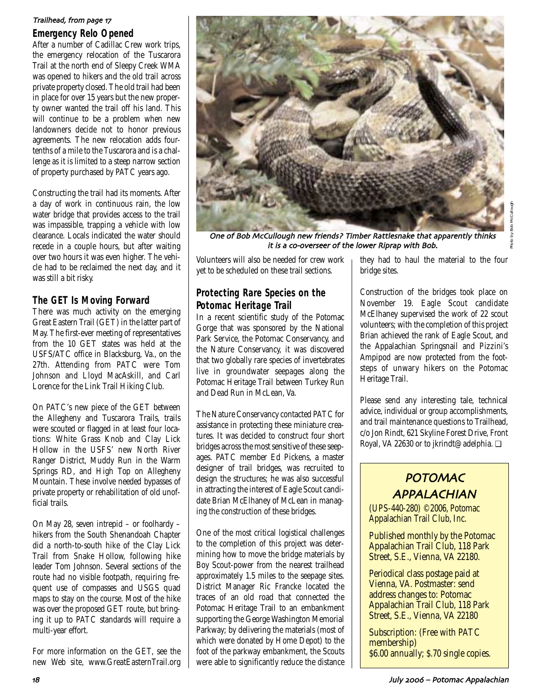### Trailhead, from page 17

### **Emergency Relo Opened**

After a number of Cadillac Crew work trips, the emergency relocation of the Tuscarora Trail at the north end of Sleepy Creek WMA was opened to hikers and the old trail across private property closed. The old trail had been in place for over 15 years but the new property owner wanted the trail off his land. This will continue to be a problem when new landowners decide not to honor previous agreements. The new relocation adds fourtenths of a mile to the Tuscarora and is a challenge as it is limited to a steep narrow section of property purchased by PATC years ago.

Constructing the trail had its moments. After a day of work in continuous rain, the low water bridge that provides access to the trail was impassible, trapping a vehicle with low clearance. Locals indicated the water should recede in a couple hours, but after waiting over two hours it was even higher. The vehicle had to be reclaimed the next day, and it was still a bit risky.

### **The GET Is Moving Forward**

There was much activity on the emerging Great Eastern Trail (GET) in the latter part of May. The first-ever meeting of representatives from the 10 GET states was held at the USFS/ATC office in Blacksburg, Va., on the 27th. Attending from PATC were Tom Johnson and Lloyd MacAskill, and Carl Lorence for the Link Trail Hiking Club.

On PATC's new piece of the GET between the Allegheny and Tuscarora Trails, trails were scouted or flagged in at least four locations: White Grass Knob and Clay Lick Hollow in the USFS' new North River Ranger District, Muddy Run in the Warm Springs RD, and High Top on Allegheny Mountain. These involve needed bypasses of private property or rehabilitation of old unofficial trails.

On May 28, seven intrepid – or foolhardy – hikers from the South Shenandoah Chapter did a north-to-south hike of the Clay Lick Trail from Snake Hollow, following hike leader Tom Johnson. Several sections of the route had no visible footpath, requiring frequent use of compasses and USGS quad maps to stay on the course. Most of the hike was over the proposed GET route, but bringing it up to PATC standards will require a multi-year effort.

For more information on the GET, see the new Web site, www.GreatEasternTrail.org



One of Bob McCullough new friends? Timber Rattlesnake that apparently thinks it is a co-overseer of the lower Riprap with Bob.

Volunteers will also be needed for crew work yet to be scheduled on these trail sections.

### **Protecting Rare Species on the Potomac Heritage Trail**

In a recent scientific study of the Potomac Gorge that was sponsored by the National Park Service, the Potomac Conservancy, and the Nature Conservancy, it was discovered that two globally rare species of invertebrates live in groundwater seepages along the Potomac Heritage Trail between Turkey Run and Dead Run in McLean, Va.

The Nature Conservancy contacted PATC for assistance in protecting these miniature creatures. It was decided to construct four short bridges across the most sensitive of these seepages. PATC member Ed Pickens, a master designer of trail bridges, was recruited to design the structures; he was also successful in attracting the interest of Eagle Scout candidate Brian McElhaney of McLean in managing the construction of these bridges.

One of the most critical logistical challenges to the completion of this project was determining how to move the bridge materials by Boy Scout-power from the nearest trailhead approximately 1.5 miles to the seepage sites. District Manager Ric Francke located the traces of an old road that connected the Potomac Heritage Trail to an embankment supporting the George Washington Memorial Parkway; by delivering the materials (most of which were donated by Home Depot) to the foot of the parkway embankment, the Scouts were able to significantly reduce the distance they had to haul the material to the four bridge sites.

Construction of the bridges took place on November 19. Eagle Scout candidate McElhaney supervised the work of 22 scout volunteers; with the completion of this project Brian achieved the rank of Eagle Scout, and the Appalachian Springsnail and Pizzini's Ampipod are now protected from the footsteps of unwary hikers on the Potomac Heritage Trail.

Please send any interesting tale, technical advice, individual or group accomplishments, and trail maintenance questions to Trailhead, c/o Jon Rindt, 621 Skyline Forest Drive, Front Royal, VA 22630 or to jkrindt@adelphia. ❏

## POTOMAC APPALACHIAN

(UPS-440-280) ©2006, Potomac Appalachian Trail Club, Inc.

Published monthly by the Potomac Appalachian Trail Club, 118 Park Street, S.E., Vienna, VA 22180.

Periodical class postage paid at Vienna, VA. Postmaster: send address changes to: Potomac Appalachian Trail Club, 118 Park Street, S.E., Vienna, VA 22180

Subscription: (Free with PATC membership) \$6.00 annually; \$.70 single copies.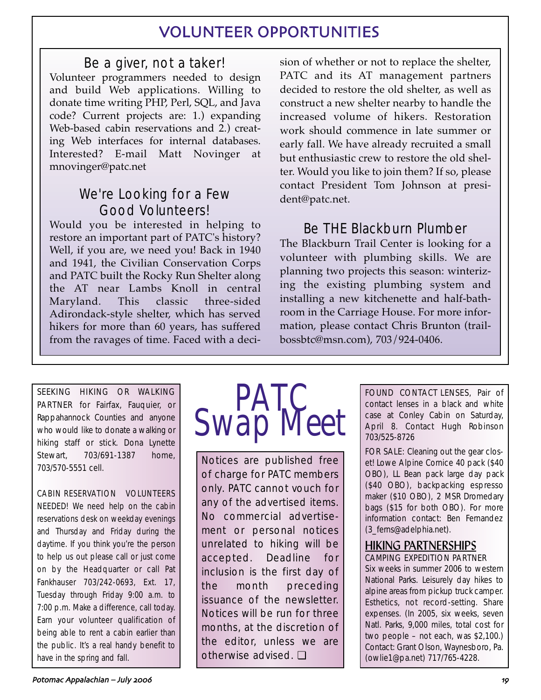## VOLUNTEER OPPORTUNITIES

## Be a giver, not a taker!

Volunteer programmers needed to design and build Web applications. Willing to donate time writing PHP, Perl, SQL, and Java code? Current projects are: 1.) expanding Web-based cabin reservations and 2.) creating Web interfaces for internal databases. Interested? E-mail Matt Novinger at mnovinger@patc.net

## We're Looking for a Few Good Volunteers!

Would you be interested in helping to restore an important part of PATC's history? Well, if you are, we need you! Back in 1940 and 1941, the Civilian Conservation Corps and PATC built the Rocky Run Shelter along the AT near Lambs Knoll in central Maryland. This classic three-sided Adirondack-style shelter, which has served hikers for more than 60 years, has suffered from the ravages of time. Faced with a decision of whether or not to replace the shelter, PATC and its AT management partners decided to restore the old shelter, as well as construct a new shelter nearby to handle the increased volume of hikers. Restoration work should commence in late summer or early fall. We have already recruited a small but enthusiastic crew to restore the old shelter. Would you like to join them? If so, please contact President Tom Johnson at president@patc.net.

## Be THE Blackburn Plumber

The Blackburn Trail Center is looking for a volunteer with plumbing skills. We are planning two projects this season: winterizing the existing plumbing system and installing a new kitchenette and half-bathroom in the Carriage House. For more information, please contact Chris Brunton (trailbossbtc@msn.com), 703/924-0406.

SEEKING HIKING OR WALKING PARTNER for Fairfax, Fauquier, or Rappahannock Counties and anyone who would like to donate a walking or hiking staff or stick. Dona Lynette Stewart, 703/691-1387 home, 703/570-5551 cell.

CABIN RESERVATION VOLUNTEERS NEEDED! We need help on the cabin reservations desk on weekday evenings and Thursday and Friday during the daytime. If you think you're the person to help us out please call or just come on by the Headquarter or call Pat Fankhauser 703/242-0693, Ext. 17, Tuesday through Friday 9:00 a.m. to 7:00 p.m. Make a difference, call today. Earn your volunteer qualification of being able to rent a cabin earlier than the public. It's a real handy benefit to have in the spring and fall.



Notices are published free of charge for PATC members only. PATC cannot vouch for any of the advertised items. No commercial advertisement or personal notices unrelated to hiking will be accepted. Deadline for inclusion is the first day of the month preceding issuance of the newsletter. Notices will be run for three months, at the discretion of the editor, unless we are otherwise advised. ❏

FOUND CONTACT LENSES, Pair of contact lenses in a black and white case at Conley Cabin on Saturday, April 8. Contact Hugh Robinson 703/525-8726

FOR SALE: Cleaning out the gear closet! Lowe Alpine Cornice 40 pack (\$40 OBO), LL Bean pack large day pack (\$40 OBO), backpacking espresso maker (\$10 OBO), 2 MSR Dromedary bags (\$15 for both OBO). For more information contact: Ben Fernandez (3\_ferns@adelphia.net).

### HIKING PARTNERSHIPS CAMPING EXPEDITION PARTNER

Six weeks in summer 2006 to western National Parks. Leisurely day hikes to alpine areas from pickup truck camper. Esthetics, not record-setting. Share expenses. (In 2005, six weeks, seven Natl. Parks, 9,000 miles, total cost for two people – not each, was \$2,100.) Contact: Grant Olson, Waynesboro, Pa. (owlie1@pa.net) 717/765-4228.